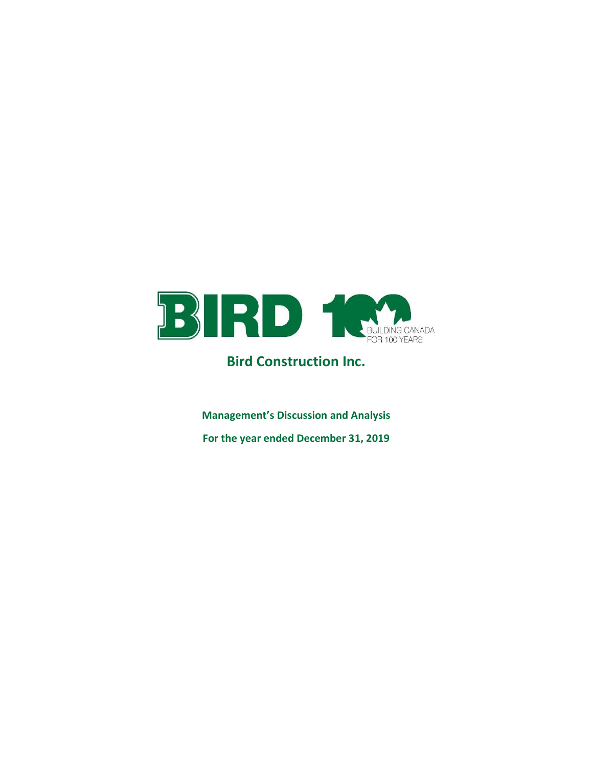

# Bird Construction Inc.

Management's Discussion and Analysis For the year ended December 31, 2019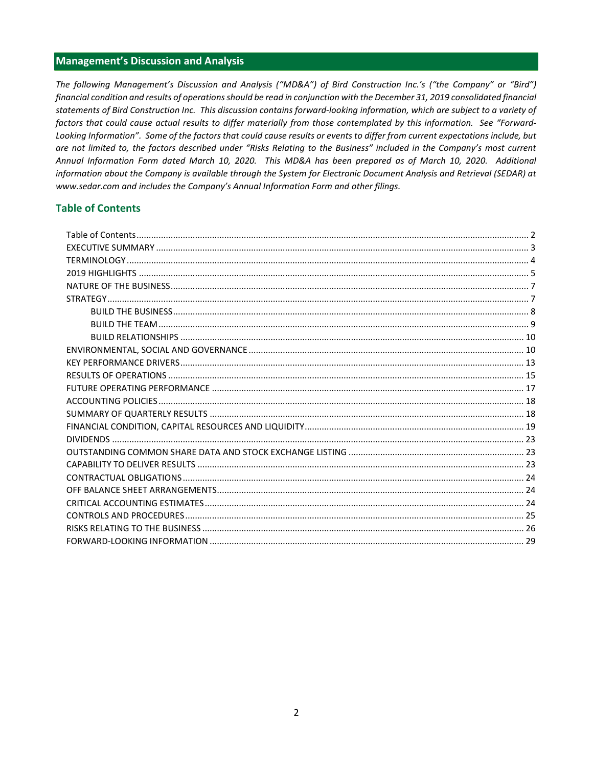# **Management's Discussion and Analysis**

The following Management's Discussion and Analysis ("MD&A") of Bird Construction Inc.'s ("the Company" or "Bird") financial condition and results of operations should be read in conjunction with the December 31, 2019 consolidated financial statements of Bird Construction Inc. This discussion contains forward-looking information, which are subject to a variety of factors that could cause actual results to differ materially from those contemplated by this information. See "Forward-Looking Information". Some of the factors that could cause results or events to differ from current expectations include, but are not limited to, the factors described under "Risks Relating to the Business" included in the Company's most current Annual Information Form dated March 10, 2020. This MD&A has been prepared as of March 10, 2020. Additional information about the Company is available through the System for Electronic Document Analysis and Retrieval (SEDAR) at www.sedar.com and includes the Company's Annual Information Form and other filings.

# **Table of Contents**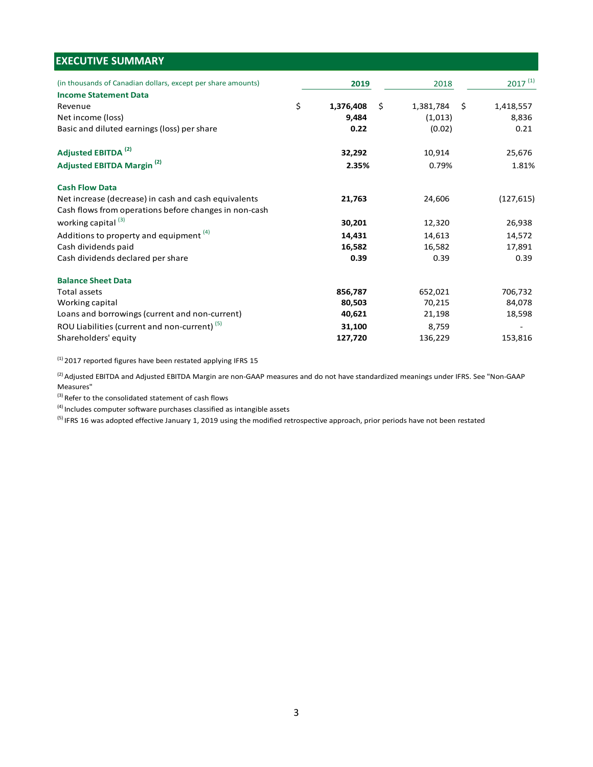| <b>EXECUTIVE SUMMARY</b>                                     |                 |                    |              |
|--------------------------------------------------------------|-----------------|--------------------|--------------|
|                                                              |                 |                    |              |
| (in thousands of Canadian dollars, except per share amounts) | 2019            | 2018               | $2017^{(1)}$ |
| <b>Income Statement Data</b>                                 |                 |                    |              |
| Revenue                                                      | \$<br>1,376,408 | \$<br>1,381,784 \$ | 1,418,557    |
| Net income (loss)                                            | 9,484           | (1,013)            | 8,836        |
| Basic and diluted earnings (loss) per share                  | 0.22            | (0.02)             | 0.21         |
|                                                              |                 |                    |              |
| Adjusted EBITDA <sup>(2)</sup>                               | 32,292          | 10,914             | 25,676       |
| Adjusted EBITDA Margin <sup>(2)</sup>                        | 2.35%           | 0.79%              | 1.81%        |
|                                                              |                 |                    |              |
| <b>Cash Flow Data</b>                                        |                 |                    |              |
| Net increase (decrease) in cash and cash equivalents         | 21,763          | 24,606             | (127, 615)   |
| Cash flows from operations before changes in non-cash        |                 |                    |              |
| working capital <sup>(3)</sup>                               | 30,201          | 12,320             | 26,938       |
| Additions to property and equipment (4)                      | 14,431          | 14,613             | 14,572       |
| Cash dividends paid                                          | 16,582          | 16,582             | 17,891       |
| Cash dividends declared per share                            | 0.39            | 0.39               | 0.39         |
| <b>Balance Sheet Data</b>                                    |                 |                    |              |
| Total assets                                                 | 856,787         | 652,021            | 706,732      |
| Working capital                                              | 80,503          | 70,215             | 84,078       |
| Loans and borrowings (current and non-current)               | 40,621          | 21,198             | 18,598       |
| ROU Liabilities (current and non-current) <sup>(5)</sup>     | 31,100          | 8,759              | $\sim$       |
| Shareholders' equity                                         | 127,720         | 136,229            | 153,816      |

 $^{(1)}$  2017 reported figures have been restated applying IFRS 15

<sup>(2)</sup> Adjusted EBITDA and Adjusted EBITDA Margin are non-GAAP measures and do not have standardized meanings under IFRS. See "Non-GAAP Measures"

(3) Refer to the consolidated statement of cash flows

 $<sup>(4)</sup>$  Includes computer software purchases classified as intangible assets</sup>

 $^{(5)}$  IFRS 16 was adopted effective January 1, 2019 using the modified retrospective approach, prior periods have not been restated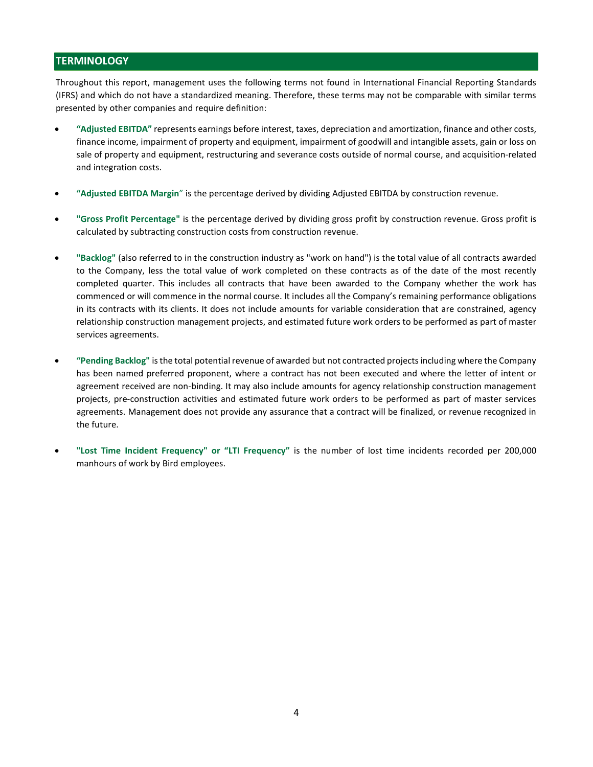# **TERMINOLOGY**

Throughout this report, management uses the following terms not found in International Financial Reporting Standards (IFRS) and which do not have a standardized meaning. Therefore, these terms may not be comparable with similar terms presented by other companies and require definition:

- "Adjusted EBITDA" represents earnings before interest, taxes, depreciation and amortization, finance and other costs, finance income, impairment of property and equipment, impairment of goodwill and intangible assets, gain or loss on sale of property and equipment, restructuring and severance costs outside of normal course, and acquisition-related and integration costs.
- "Adjusted EBITDA Margin" is the percentage derived by dividing Adjusted EBITDA by construction revenue.
- "Gross Profit Percentage" is the percentage derived by dividing gross profit by construction revenue. Gross profit is calculated by subtracting construction costs from construction revenue.
- "Backlog" (also referred to in the construction industry as "work on hand") is the total value of all contracts awarded to the Company, less the total value of work completed on these contracts as of the date of the most recently completed quarter. This includes all contracts that have been awarded to the Company whether the work has commenced or will commence in the normal course. It includes all the Company's remaining performance obligations in its contracts with its clients. It does not include amounts for variable consideration that are constrained, agency relationship construction management projects, and estimated future work orders to be performed as part of master services agreements.
- "Pending Backlog" is the total potential revenue of awarded but not contracted projects including where the Company has been named preferred proponent, where a contract has not been executed and where the letter of intent or agreement received are non-binding. It may also include amounts for agency relationship construction management projects, pre-construction activities and estimated future work orders to be performed as part of master services agreements. Management does not provide any assurance that a contract will be finalized, or revenue recognized in the future.
- "Lost Time Incident Frequency" or "LTI Frequency" is the number of lost time incidents recorded per 200,000 manhours of work by Bird employees.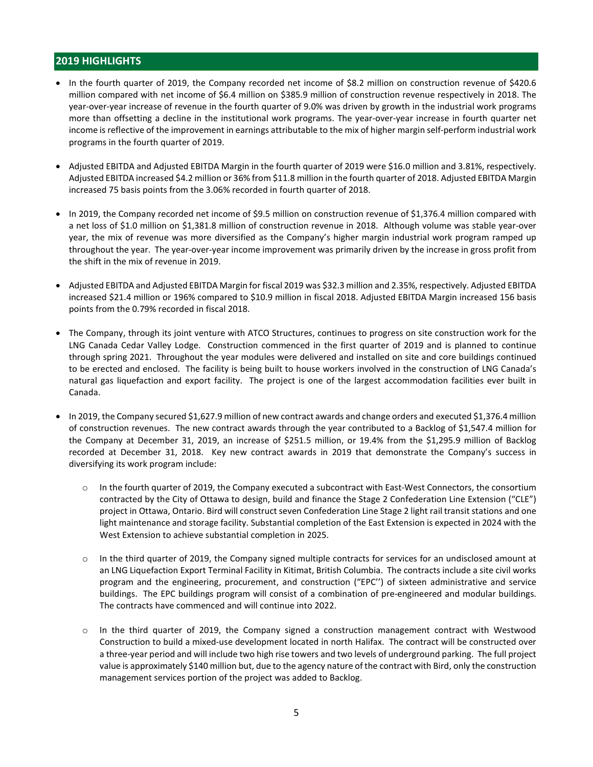# 2019 HIGHLIGHTS

- In the fourth quarter of 2019, the Company recorded net income of \$8.2 million on construction revenue of \$420.6 million compared with net income of \$6.4 million on \$385.9 million of construction revenue respectively in 2018. The year-over-year increase of revenue in the fourth quarter of 9.0% was driven by growth in the industrial work programs more than offsetting a decline in the institutional work programs. The year-over-year increase in fourth quarter net income is reflective of the improvement in earnings attributable to the mix of higher margin self-perform industrial work programs in the fourth quarter of 2019.
- Adjusted EBITDA and Adjusted EBITDA Margin in the fourth quarter of 2019 were \$16.0 million and 3.81%, respectively. Adjusted EBITDA increased \$4.2 million or 36% from \$11.8 million in the fourth quarter of 2018. Adjusted EBITDA Margin increased 75 basis points from the 3.06% recorded in fourth quarter of 2018.
- In 2019, the Company recorded net income of \$9.5 million on construction revenue of \$1,376.4 million compared with a net loss of \$1.0 million on \$1,381.8 million of construction revenue in 2018. Although volume was stable year-over year, the mix of revenue was more diversified as the Company's higher margin industrial work program ramped up throughout the year. The year-over-year income improvement was primarily driven by the increase in gross profit from the shift in the mix of revenue in 2019.
- Adjusted EBITDA and Adjusted EBITDA Margin for fiscal 2019 was \$32.3 million and 2.35%, respectively. Adjusted EBITDA increased \$21.4 million or 196% compared to \$10.9 million in fiscal 2018. Adjusted EBITDA Margin increased 156 basis points from the 0.79% recorded in fiscal 2018.
- The Company, through its joint venture with ATCO Structures, continues to progress on site construction work for the LNG Canada Cedar Valley Lodge. Construction commenced in the first quarter of 2019 and is planned to continue through spring 2021. Throughout the year modules were delivered and installed on site and core buildings continued to be erected and enclosed. The facility is being built to house workers involved in the construction of LNG Canada's natural gas liquefaction and export facility. The project is one of the largest accommodation facilities ever built in Canada.
- In 2019, the Company secured \$1,627.9 million of new contract awards and change orders and executed \$1,376.4 million of construction revenues. The new contract awards through the year contributed to a Backlog of \$1,547.4 million for the Company at December 31, 2019, an increase of \$251.5 million, or 19.4% from the \$1,295.9 million of Backlog recorded at December 31, 2018. Key new contract awards in 2019 that demonstrate the Company's success in diversifying its work program include:
	- o In the fourth quarter of 2019, the Company executed a subcontract with East-West Connectors, the consortium contracted by the City of Ottawa to design, build and finance the Stage 2 Confederation Line Extension ("CLE") project in Ottawa, Ontario. Bird will construct seven Confederation Line Stage 2 light rail transit stations and one light maintenance and storage facility. Substantial completion of the East Extension is expected in 2024 with the West Extension to achieve substantial completion in 2025.
	- o In the third quarter of 2019, the Company signed multiple contracts for services for an undisclosed amount at an LNG Liquefaction Export Terminal Facility in Kitimat, British Columbia. The contracts include a site civil works program and the engineering, procurement, and construction ("EPC'') of sixteen administrative and service buildings. The EPC buildings program will consist of a combination of pre-engineered and modular buildings. The contracts have commenced and will continue into 2022.
	- o In the third quarter of 2019, the Company signed a construction management contract with Westwood Construction to build a mixed-use development located in north Halifax. The contract will be constructed over a three-year period and will include two high rise towers and two levels of underground parking. The full project value is approximately \$140 million but, due to the agency nature of the contract with Bird, only the construction management services portion of the project was added to Backlog.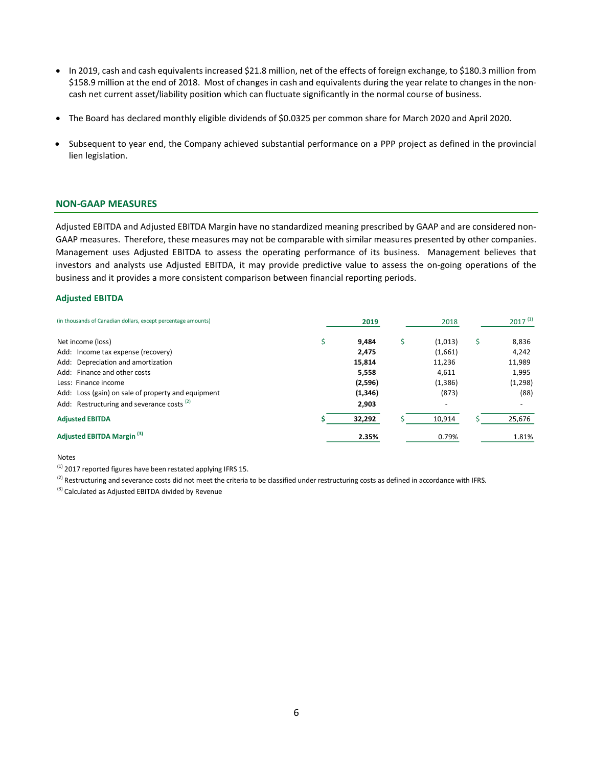- In 2019, cash and cash equivalents increased \$21.8 million, net of the effects of foreign exchange, to \$180.3 million from \$158.9 million at the end of 2018. Most of changes in cash and equivalents during the year relate to changes in the noncash net current asset/liability position which can fluctuate significantly in the normal course of business.
- The Board has declared monthly eligible dividends of \$0.0325 per common share for March 2020 and April 2020.
- Subsequent to year end, the Company achieved substantial performance on a PPP project as defined in the provincial lien legislation.

#### NON-GAAP MEASURES

#### Adjusted EBITDA

| \$158.9 million at the end of 2018. Most of changes in cash and equivalents during the year relate to changes in the non-<br>cash net current asset/liability position which can fluctuate significantly in the normal course of business.                                                                                                                                                                                                                                          |   |                                                                   |                                                                  |    |                                                                         |
|-------------------------------------------------------------------------------------------------------------------------------------------------------------------------------------------------------------------------------------------------------------------------------------------------------------------------------------------------------------------------------------------------------------------------------------------------------------------------------------|---|-------------------------------------------------------------------|------------------------------------------------------------------|----|-------------------------------------------------------------------------|
| • The Board has declared monthly eligible dividends of \$0.0325 per common share for March 2020 and April 2020.                                                                                                                                                                                                                                                                                                                                                                     |   |                                                                   |                                                                  |    |                                                                         |
| Subsequent to year end, the Company achieved substantial performance on a PPP project as defined in the provincial<br>$\bullet$<br>lien legislation.                                                                                                                                                                                                                                                                                                                                |   |                                                                   |                                                                  |    |                                                                         |
| <b>NON-GAAP MEASURES</b>                                                                                                                                                                                                                                                                                                                                                                                                                                                            |   |                                                                   |                                                                  |    |                                                                         |
| GAAP measures. Therefore, these measures may not be comparable with similar measures presented by other companies.<br>Management uses Adjusted EBITDA to assess the operating performance of its business. Management believes that<br>investors and analysts use Adjusted EBITDA, it may provide predictive value to assess the on-going operations of the<br>business and it provides a more consistent comparison between financial reporting periods.<br><b>Adjusted EBITDA</b> |   |                                                                   |                                                                  |    |                                                                         |
| (in thousands of Canadian dollars, except percentage amounts)                                                                                                                                                                                                                                                                                                                                                                                                                       |   | 2019                                                              | 2018                                                             |    | $2017^{(1)}$                                                            |
| Net income (loss)<br>Add: Income tax expense (recovery)<br>Add: Depreciation and amortization<br>Add: Finance and other costs<br>Less: Finance income<br>Add: Loss (gain) on sale of property and equipment<br>Add: Restructuring and severance costs <sup>(2)</sup>                                                                                                                                                                                                                | Ŝ | 9,484<br>2,475<br>15,814<br>5,558<br>(2,596)<br>(1, 346)<br>2,903 | \$<br>(1,013)<br>(1,661)<br>11,236<br>4,611<br>(1, 386)<br>(873) | Š. | 8,836<br>4,242<br>11,989<br>1,995<br>(1, 298)<br>(88)<br>$\blacksquare$ |
| <b>Adjusted EBITDA</b>                                                                                                                                                                                                                                                                                                                                                                                                                                                              |   | 32,292                                                            | 10,914                                                           |    | 25,676                                                                  |
| Adjusted EBITDA Margin <sup>(3)</sup>                                                                                                                                                                                                                                                                                                                                                                                                                                               |   | 2.35%                                                             | 0.79%                                                            |    | 1.81%                                                                   |
| Notes<br><sup>(1)</sup> 2017 reported figures have been restated applying IFRS 15.<br><sup>(2)</sup> Restructuring and severance costs did not meet the criteria to be classified under restructuring costs as defined in accordance with IFRS.<br>(3) Calculated as Adjusted EBITDA divided by Revenue                                                                                                                                                                             |   |                                                                   |                                                                  |    |                                                                         |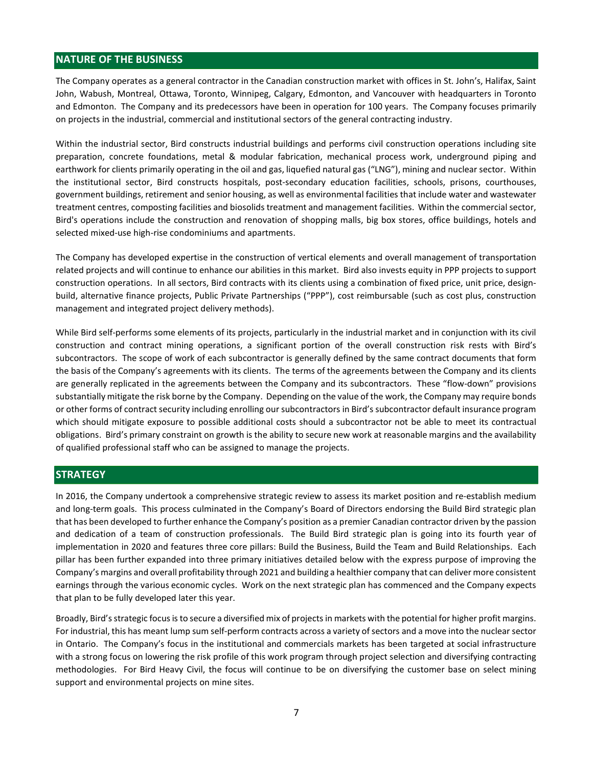# NATURE OF THE BUSINESS

The Company operates as a general contractor in the Canadian construction market with offices in St. John's, Halifax, Saint John, Wabush, Montreal, Ottawa, Toronto, Winnipeg, Calgary, Edmonton, and Vancouver with headquarters in Toronto and Edmonton. The Company and its predecessors have been in operation for 100 years. The Company focuses primarily on projects in the industrial, commercial and institutional sectors of the general contracting industry.

Within the industrial sector, Bird constructs industrial buildings and performs civil construction operations including site preparation, concrete foundations, metal & modular fabrication, mechanical process work, underground piping and earthwork for clients primarily operating in the oil and gas, liquefied natural gas ("LNG"), mining and nuclear sector. Within the institutional sector, Bird constructs hospitals, post-secondary education facilities, schools, prisons, courthouses, government buildings, retirement and senior housing, as well as environmental facilities that include water and wastewater treatment centres, composting facilities and biosolids treatment and management facilities. Within the commercial sector, Bird's operations include the construction and renovation of shopping malls, big box stores, office buildings, hotels and selected mixed-use high-rise condominiums and apartments.

The Company has developed expertise in the construction of vertical elements and overall management of transportation related projects and will continue to enhance our abilities in this market. Bird also invests equity in PPP projects to support construction operations. In all sectors, Bird contracts with its clients using a combination of fixed price, unit price, designbuild, alternative finance projects, Public Private Partnerships ("PPP"), cost reimbursable (such as cost plus, construction management and integrated project delivery methods).

While Bird self-performs some elements of its projects, particularly in the industrial market and in conjunction with its civil construction and contract mining operations, a significant portion of the overall construction risk rests with Bird's subcontractors. The scope of work of each subcontractor is generally defined by the same contract documents that form the basis of the Company's agreements with its clients. The terms of the agreements between the Company and its clients are generally replicated in the agreements between the Company and its subcontractors. These "flow-down" provisions substantially mitigate the risk borne by the Company. Depending on the value of the work, the Company may require bonds or other forms of contract security including enrolling our subcontractors in Bird's subcontractor default insurance program which should mitigate exposure to possible additional costs should a subcontractor not be able to meet its contractual obligations. Bird's primary constraint on growth is the ability to secure new work at reasonable margins and the availability of qualified professional staff who can be assigned to manage the projects.

# **STRATEGY**

In 2016, the Company undertook a comprehensive strategic review to assess its market position and re-establish medium and long-term goals. This process culminated in the Company's Board of Directors endorsing the Build Bird strategic plan that has been developed to further enhance the Company's position as a premier Canadian contractor driven by the passion and dedication of a team of construction professionals. The Build Bird strategic plan is going into its fourth year of implementation in 2020 and features three core pillars: Build the Business, Build the Team and Build Relationships. Each pillar has been further expanded into three primary initiatives detailed below with the express purpose of improving the Company's margins and overall profitability through 2021 and building a healthier company that can deliver more consistent earnings through the various economic cycles. Work on the next strategic plan has commenced and the Company expects that plan to be fully developed later this year.

Broadly, Bird's strategic focus is to secure a diversified mix of projects in markets with the potential for higher profit margins. For industrial, this has meant lump sum self-perform contracts across a variety of sectors and a move into the nuclear sector in Ontario. The Company's focus in the institutional and commercials markets has been targeted at social infrastructure with a strong focus on lowering the risk profile of this work program through project selection and diversifying contracting methodologies. For Bird Heavy Civil, the focus will continue to be on diversifying the customer base on select mining support and environmental projects on mine sites.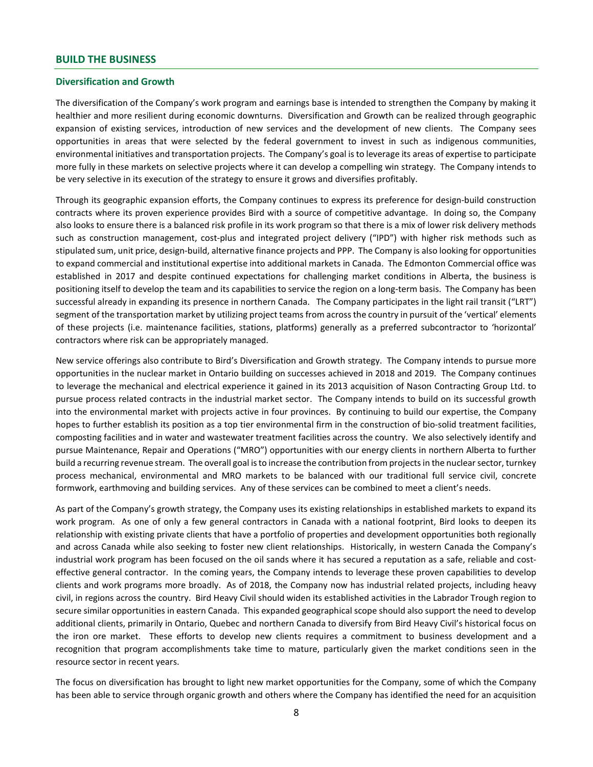#### BUILD THE BUSINESS

#### Diversification and Growth

The diversification of the Company's work program and earnings base is intended to strengthen the Company by making it healthier and more resilient during economic downturns. Diversification and Growth can be realized through geographic expansion of existing services, introduction of new services and the development of new clients. The Company sees opportunities in areas that were selected by the federal government to invest in such as indigenous communities, environmental initiatives and transportation projects. The Company's goal is to leverage its areas of expertise to participate more fully in these markets on selective projects where it can develop a compelling win strategy. The Company intends to be very selective in its execution of the strategy to ensure it grows and diversifies profitably.

Through its geographic expansion efforts, the Company continues to express its preference for design-build construction contracts where its proven experience provides Bird with a source of competitive advantage. In doing so, the Company also looks to ensure there is a balanced risk profile in its work program so that there is a mix of lower risk delivery methods such as construction management, cost-plus and integrated project delivery ("IPD") with higher risk methods such as stipulated sum, unit price, design-build, alternative finance projects and PPP. The Company is also looking for opportunities to expand commercial and institutional expertise into additional markets in Canada. The Edmonton Commercial office was established in 2017 and despite continued expectations for challenging market conditions in Alberta, the business is positioning itself to develop the team and its capabilities to service the region on a long-term basis. The Company has been successful already in expanding its presence in northern Canada. The Company participates in the light rail transit ("LRT") segment of the transportation market by utilizing project teams from across the country in pursuit of the 'vertical' elements of these projects (i.e. maintenance facilities, stations, platforms) generally as a preferred subcontractor to 'horizontal' contractors where risk can be appropriately managed.

New service offerings also contribute to Bird's Diversification and Growth strategy. The Company intends to pursue more opportunities in the nuclear market in Ontario building on successes achieved in 2018 and 2019. The Company continues to leverage the mechanical and electrical experience it gained in its 2013 acquisition of Nason Contracting Group Ltd. to pursue process related contracts in the industrial market sector. The Company intends to build on its successful growth into the environmental market with projects active in four provinces. By continuing to build our expertise, the Company hopes to further establish its position as a top tier environmental firm in the construction of bio-solid treatment facilities, composting facilities and in water and wastewater treatment facilities across the country. We also selectively identify and pursue Maintenance, Repair and Operations ("MRO") opportunities with our energy clients in northern Alberta to further build a recurring revenue stream. The overall goal is to increase the contribution from projects in the nuclear sector, turnkey process mechanical, environmental and MRO markets to be balanced with our traditional full service civil, concrete formwork, earthmoving and building services. Any of these services can be combined to meet a client's needs.

As part of the Company's growth strategy, the Company uses its existing relationships in established markets to expand its work program. As one of only a few general contractors in Canada with a national footprint, Bird looks to deepen its relationship with existing private clients that have a portfolio of properties and development opportunities both regionally and across Canada while also seeking to foster new client relationships. Historically, in western Canada the Company's industrial work program has been focused on the oil sands where it has secured a reputation as a safe, reliable and costeffective general contractor. In the coming years, the Company intends to leverage these proven capabilities to develop clients and work programs more broadly. As of 2018, the Company now has industrial related projects, including heavy civil, in regions across the country. Bird Heavy Civil should widen its established activities in the Labrador Trough region to secure similar opportunities in eastern Canada. This expanded geographical scope should also support the need to develop additional clients, primarily in Ontario, Quebec and northern Canada to diversify from Bird Heavy Civil's historical focus on the iron ore market. These efforts to develop new clients requires a commitment to business development and a recognition that program accomplishments take time to mature, particularly given the market conditions seen in the resource sector in recent years.

The focus on diversification has brought to light new market opportunities for the Company, some of which the Company has been able to service through organic growth and others where the Company has identified the need for an acquisition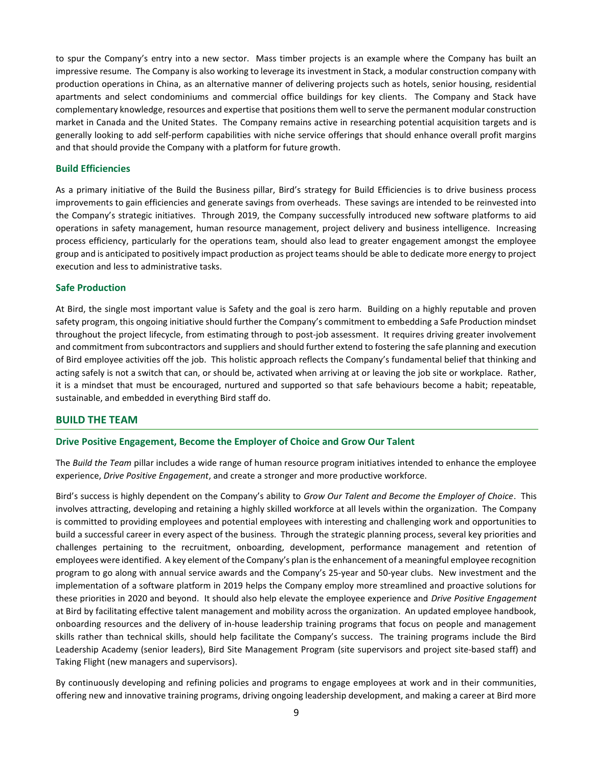to spur the Company's entry into a new sector. Mass timber projects is an example where the Company has built an impressive resume. The Company is also working to leverage its investment in Stack, a modular construction company with production operations in China, as an alternative manner of delivering projects such as hotels, senior housing, residential apartments and select condominiums and commercial office buildings for key clients. The Company and Stack have complementary knowledge, resources and expertise that positions them well to serve the permanent modular construction market in Canada and the United States. The Company remains active in researching potential acquisition targets and is generally looking to add self-perform capabilities with niche service offerings that should enhance overall profit margins and that should provide the Company with a platform for future growth.

#### Build Efficiencies

As a primary initiative of the Build the Business pillar, Bird's strategy for Build Efficiencies is to drive business process improvements to gain efficiencies and generate savings from overheads. These savings are intended to be reinvested into the Company's strategic initiatives. Through 2019, the Company successfully introduced new software platforms to aid operations in safety management, human resource management, project delivery and business intelligence. Increasing process efficiency, particularly for the operations team, should also lead to greater engagement amongst the employee group and is anticipated to positively impact production as project teams should be able to dedicate more energy to project execution and less to administrative tasks.

#### Safe Production

At Bird, the single most important value is Safety and the goal is zero harm. Building on a highly reputable and proven safety program, this ongoing initiative should further the Company's commitment to embedding a Safe Production mindset throughout the project lifecycle, from estimating through to post-job assessment. It requires driving greater involvement and commitment from subcontractors and suppliers and should further extend to fostering the safe planning and execution of Bird employee activities off the job. This holistic approach reflects the Company's fundamental belief that thinking and acting safely is not a switch that can, or should be, activated when arriving at or leaving the job site or workplace. Rather, it is a mindset that must be encouraged, nurtured and supported so that safe behaviours become a habit; repeatable, sustainable, and embedded in everything Bird staff do.

#### BUILD THE TEAM

#### Drive Positive Engagement, Become the Employer of Choice and Grow Our Talent

The Build the Team pillar includes a wide range of human resource program initiatives intended to enhance the employee experience, Drive Positive Engagement, and create a stronger and more productive workforce.

Bird's success is highly dependent on the Company's ability to Grow Our Talent and Become the Employer of Choice. This involves attracting, developing and retaining a highly skilled workforce at all levels within the organization. The Company is committed to providing employees and potential employees with interesting and challenging work and opportunities to build a successful career in every aspect of the business. Through the strategic planning process, several key priorities and challenges pertaining to the recruitment, onboarding, development, performance management and retention of employees were identified. A key element of the Company's plan is the enhancement of a meaningful employee recognition program to go along with annual service awards and the Company's 25-year and 50-year clubs. New investment and the implementation of a software platform in 2019 helps the Company employ more streamlined and proactive solutions for these priorities in 2020 and beyond. It should also help elevate the employee experience and Drive Positive Engagement at Bird by facilitating effective talent management and mobility across the organization. An updated employee handbook, onboarding resources and the delivery of in-house leadership training programs that focus on people and management skills rather than technical skills, should help facilitate the Company's success. The training programs include the Bird Leadership Academy (senior leaders), Bird Site Management Program (site supervisors and project site-based staff) and Taking Flight (new managers and supervisors).

By continuously developing and refining policies and programs to engage employees at work and in their communities, offering new and innovative training programs, driving ongoing leadership development, and making a career at Bird more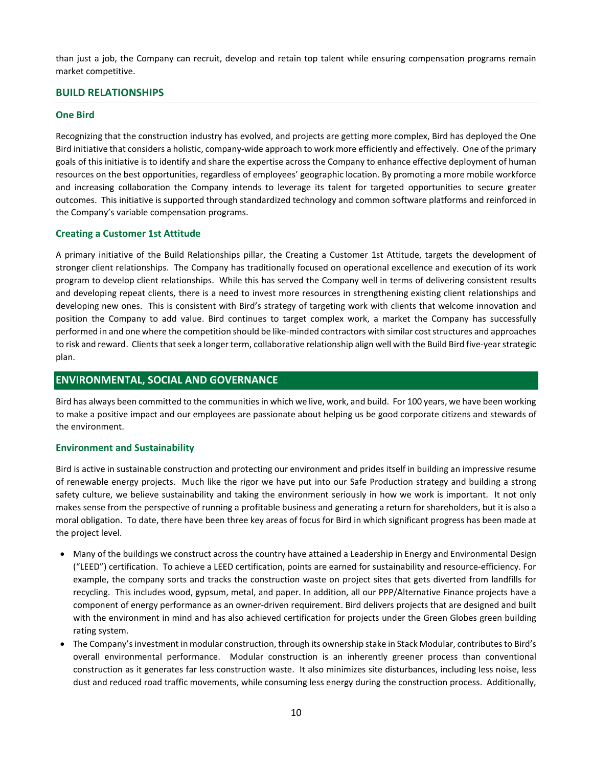than just a job, the Company can recruit, develop and retain top talent while ensuring compensation programs remain market competitive.

## BUILD RELATIONSHIPS

#### One Bird

Recognizing that the construction industry has evolved, and projects are getting more complex, Bird has deployed the One Bird initiative that considers a holistic, company-wide approach to work more efficiently and effectively. One of the primary goals of this initiative is to identify and share the expertise across the Company to enhance effective deployment of human resources on the best opportunities, regardless of employees' geographic location. By promoting a more mobile workforce and increasing collaboration the Company intends to leverage its talent for targeted opportunities to secure greater outcomes. This initiative is supported through standardized technology and common software platforms and reinforced in the Company's variable compensation programs.

#### Creating a Customer 1st Attitude

A primary initiative of the Build Relationships pillar, the Creating a Customer 1st Attitude, targets the development of stronger client relationships. The Company has traditionally focused on operational excellence and execution of its work program to develop client relationships. While this has served the Company well in terms of delivering consistent results and developing repeat clients, there is a need to invest more resources in strengthening existing client relationships and developing new ones. This is consistent with Bird's strategy of targeting work with clients that welcome innovation and position the Company to add value. Bird continues to target complex work, a market the Company has successfully performed in and one where the competition should be like-minded contractors with similar cost structures and approaches to risk and reward. Clients that seek a longer term, collaborative relationship align well with the Build Bird five-year strategic plan.

# ENVIRONMENTAL, SOCIAL AND GOVERNANCE

Bird has always been committed to the communities in which we live, work, and build. For 100 years, we have been working to make a positive impact and our employees are passionate about helping us be good corporate citizens and stewards of the environment.

#### Environment and Sustainability

Bird is active in sustainable construction and protecting our environment and prides itself in building an impressive resume of renewable energy projects. Much like the rigor we have put into our Safe Production strategy and building a strong safety culture, we believe sustainability and taking the environment seriously in how we work is important. It not only makes sense from the perspective of running a profitable business and generating a return for shareholders, but it is also a moral obligation. To date, there have been three key areas of focus for Bird in which significant progress has been made at the project level.

- Many of the buildings we construct across the country have attained a Leadership in Energy and Environmental Design ("LEED") certification. To achieve a LEED certification, points are earned for sustainability and resource-efficiency. For example, the company sorts and tracks the construction waste on project sites that gets diverted from landfills for recycling. This includes wood, gypsum, metal, and paper. In addition, all our PPP/Alternative Finance projects have a component of energy performance as an owner-driven requirement. Bird delivers projects that are designed and built with the environment in mind and has also achieved certification for projects under the Green Globes green building rating system.
- The Company's investment in modular construction, through its ownership stake in Stack Modular, contributes to Bird's overall environmental performance. Modular construction is an inherently greener process than conventional construction as it generates far less construction waste. It also minimizes site disturbances, including less noise, less dust and reduced road traffic movements, while consuming less energy during the construction process. Additionally,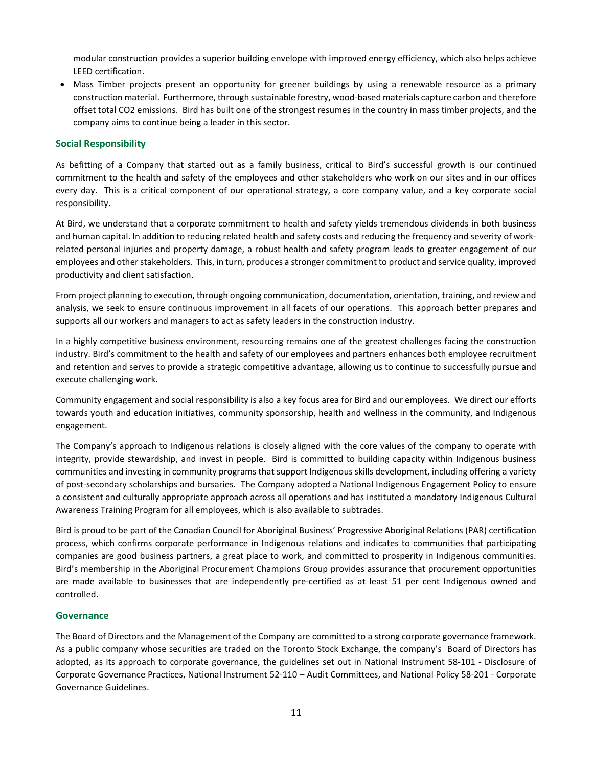modular construction provides a superior building envelope with improved energy efficiency, which also helps achieve LEED certification.

 Mass Timber projects present an opportunity for greener buildings by using a renewable resource as a primary construction material. Furthermore, through sustainable forestry, wood-based materials capture carbon and therefore offset total CO2 emissions. Bird has built one of the strongest resumes in the country in mass timber projects, and the company aims to continue being a leader in this sector.

### Social Responsibility

As befitting of a Company that started out as a family business, critical to Bird's successful growth is our continued commitment to the health and safety of the employees and other stakeholders who work on our sites and in our offices every day. This is a critical component of our operational strategy, a core company value, and a key corporate social responsibility.

At Bird, we understand that a corporate commitment to health and safety yields tremendous dividends in both business and human capital. In addition to reducing related health and safety costs and reducing the frequency and severity of workrelated personal injuries and property damage, a robust health and safety program leads to greater engagement of our employees and other stakeholders. This, in turn, produces a stronger commitment to product and service quality, improved productivity and client satisfaction.

From project planning to execution, through ongoing communication, documentation, orientation, training, and review and analysis, we seek to ensure continuous improvement in all facets of our operations. This approach better prepares and supports all our workers and managers to act as safety leaders in the construction industry.

In a highly competitive business environment, resourcing remains one of the greatest challenges facing the construction industry. Bird's commitment to the health and safety of our employees and partners enhances both employee recruitment and retention and serves to provide a strategic competitive advantage, allowing us to continue to successfully pursue and execute challenging work.

Community engagement and social responsibility is also a key focus area for Bird and our employees. We direct our efforts towards youth and education initiatives, community sponsorship, health and wellness in the community, and Indigenous engagement.

The Company's approach to Indigenous relations is closely aligned with the core values of the company to operate with integrity, provide stewardship, and invest in people. Bird is committed to building capacity within Indigenous business communities and investing in community programs that support Indigenous skills development, including offering a variety of post-secondary scholarships and bursaries. The Company adopted a National Indigenous Engagement Policy to ensure a consistent and culturally appropriate approach across all operations and has instituted a mandatory Indigenous Cultural Awareness Training Program for all employees, which is also available to subtrades.

Bird is proud to be part of the Canadian Council for Aboriginal Business' Progressive Aboriginal Relations (PAR) certification process, which confirms corporate performance in Indigenous relations and indicates to communities that participating companies are good business partners, a great place to work, and committed to prosperity in Indigenous communities. Bird's membership in the Aboriginal Procurement Champions Group provides assurance that procurement opportunities are made available to businesses that are independently pre-certified as at least 51 per cent Indigenous owned and controlled.

#### **Governance**

The Board of Directors and the Management of the Company are committed to a strong corporate governance framework. As a public company whose securities are traded on the Toronto Stock Exchange, the company's Board of Directors has adopted, as its approach to corporate governance, the guidelines set out in National Instrument 58-101 - Disclosure of Corporate Governance Practices, National Instrument 52-110 – Audit Committees, and National Policy 58-201 - Corporate Governance Guidelines.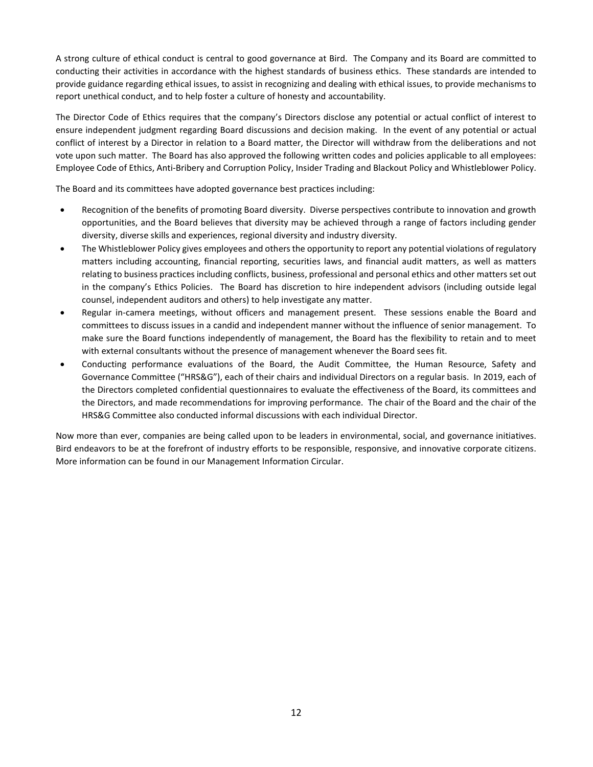A strong culture of ethical conduct is central to good governance at Bird. The Company and its Board are committed to conducting their activities in accordance with the highest standards of business ethics. These standards are intended to provide guidance regarding ethical issues, to assist in recognizing and dealing with ethical issues, to provide mechanisms to report unethical conduct, and to help foster a culture of honesty and accountability.

The Director Code of Ethics requires that the company's Directors disclose any potential or actual conflict of interest to ensure independent judgment regarding Board discussions and decision making. In the event of any potential or actual conflict of interest by a Director in relation to a Board matter, the Director will withdraw from the deliberations and not vote upon such matter. The Board has also approved the following written codes and policies applicable to all employees: Employee Code of Ethics, Anti-Bribery and Corruption Policy, Insider Trading and Blackout Policy and Whistleblower Policy.

The Board and its committees have adopted governance best practices including:

- Recognition of the benefits of promoting Board diversity. Diverse perspectives contribute to innovation and growth opportunities, and the Board believes that diversity may be achieved through a range of factors including gender diversity, diverse skills and experiences, regional diversity and industry diversity.
- The Whistleblower Policy gives employees and others the opportunity to report any potential violations of regulatory matters including accounting, financial reporting, securities laws, and financial audit matters, as well as matters relating to business practices including conflicts, business, professional and personal ethics and other matters set out in the company's Ethics Policies. The Board has discretion to hire independent advisors (including outside legal counsel, independent auditors and others) to help investigate any matter.
- Regular in-camera meetings, without officers and management present. These sessions enable the Board and committees to discuss issues in a candid and independent manner without the influence of senior management. To make sure the Board functions independently of management, the Board has the flexibility to retain and to meet with external consultants without the presence of management whenever the Board sees fit.
- Conducting performance evaluations of the Board, the Audit Committee, the Human Resource, Safety and Governance Committee ("HRS&G"), each of their chairs and individual Directors on a regular basis. In 2019, each of the Directors completed confidential questionnaires to evaluate the effectiveness of the Board, its committees and the Directors, and made recommendations for improving performance. The chair of the Board and the chair of the HRS&G Committee also conducted informal discussions with each individual Director.

Now more than ever, companies are being called upon to be leaders in environmental, social, and governance initiatives. Bird endeavors to be at the forefront of industry efforts to be responsible, responsive, and innovative corporate citizens. More information can be found in our Management Information Circular.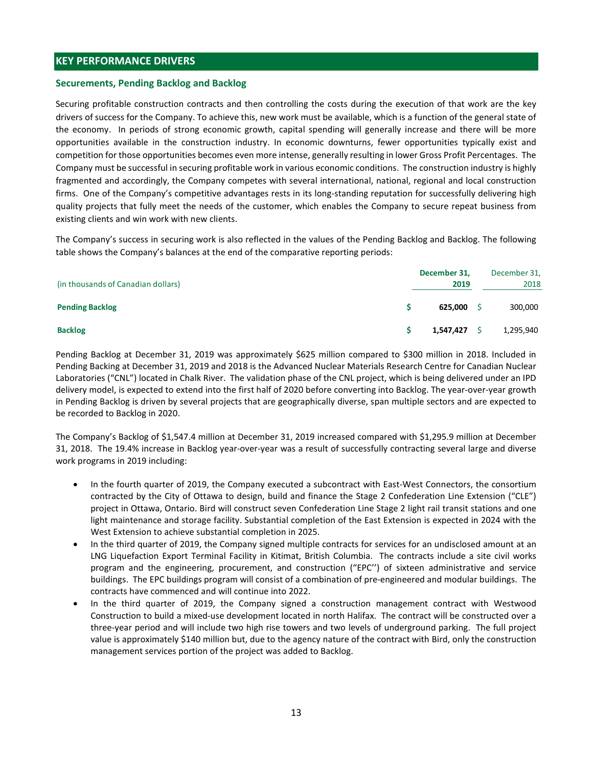# KEY PERFORMANCE DRIVERS

### Securements, Pending Backlog and Backlog

Securing profitable construction contracts and then controlling the costs during the execution of that work are the key drivers of success for the Company. To achieve this, new work must be available, which is a function of the general state of the economy. In periods of strong economic growth, capital spending will generally increase and there will be more opportunities available in the construction industry. In economic downturns, fewer opportunities typically exist and competition for those opportunities becomes even more intense, generally resulting in lower Gross Profit Percentages. The Company must be successful in securing profitable work in various economic conditions. The construction industry is highly fragmented and accordingly, the Company competes with several international, national, regional and local construction firms. One of the Company's competitive advantages rests in its long-standing reputation for successfully delivering high quality projects that fully meet the needs of the customer, which enables the Company to secure repeat business from existing clients and win work with new clients. NET TENT CONTRIGUES ENTIRENT BACK CONTRIGUES<br>
ESECUTEMP IS BEACHION CONTRIGUES and Backlog<br>
ESECUTEMP IS CONTRIGUES (SO STONG CONTRIGUES), which is a function of the two weak and the securition contracts and then controlli Examples The Company Control on the Section of the Constraines<br>
Backlong contraction contracts and then controlling the costs during the execution of that work are the key<br>
drivers of success for the Company. To achieve th

The Company's success in securing work is also reflected in the values of the Pending Backlog and Backlog. The following table shows the Company's balances at the end of the comparative reporting periods:

|                                    | December 31, | December 31, |  |
|------------------------------------|--------------|--------------|--|
| (in thousands of Canadian dollars) | 2019         | 2018         |  |
| <b>Pending Backlog</b>             | 625,000      | 300,000      |  |
| <b>Backlog</b>                     | 1,547,427    | 1,295,940    |  |

Pending Backlog at December 31, 2019 was approximately \$625 million compared to \$300 million in 2018. Included in Pending Backing at December 31, 2019 and 2018 is the Advanced Nuclear Materials Research Centre for Canadian Nuclear Laboratories ("CNL") located in Chalk River. The validation phase of the CNL project, which is being delivered under an IPD delivery model, is expected to extend into the first half of 2020 before converting into Backlog. The year-over-year growth in Pending Backlog is driven by several projects that are geographically diverse, span multiple sectors and are expected to be recorded to Backlog in 2020.

The Company's Backlog of \$1,547.4 million at December 31, 2019 increased compared with \$1,295.9 million at December 31, 2018. The 19.4% increase in Backlog year-over-year was a result of successfully contracting several large and diverse work programs in 2019 including:

- In the fourth quarter of 2019, the Company executed a subcontract with East-West Connectors, the consortium contracted by the City of Ottawa to design, build and finance the Stage 2 Confederation Line Extension ("CLE") project in Ottawa, Ontario. Bird will construct seven Confederation Line Stage 2 light rail transit stations and one light maintenance and storage facility. Substantial completion of the East Extension is expected in 2024 with the West Extension to achieve substantial completion in 2025.
- In the third quarter of 2019, the Company signed multiple contracts for services for an undisclosed amount at an LNG Liquefaction Export Terminal Facility in Kitimat, British Columbia. The contracts include a site civil works program and the engineering, procurement, and construction ("EPC'') of sixteen administrative and service buildings. The EPC buildings program will consist of a combination of pre-engineered and modular buildings. The contracts have commenced and will continue into 2022.
- In the third quarter of 2019, the Company signed a construction management contract with Westwood Construction to build a mixed-use development located in north Halifax. The contract will be constructed over a three-year period and will include two high rise towers and two levels of underground parking. The full project value is approximately \$140 million but, due to the agency nature of the contract with Bird, only the construction management services portion of the project was added to Backlog.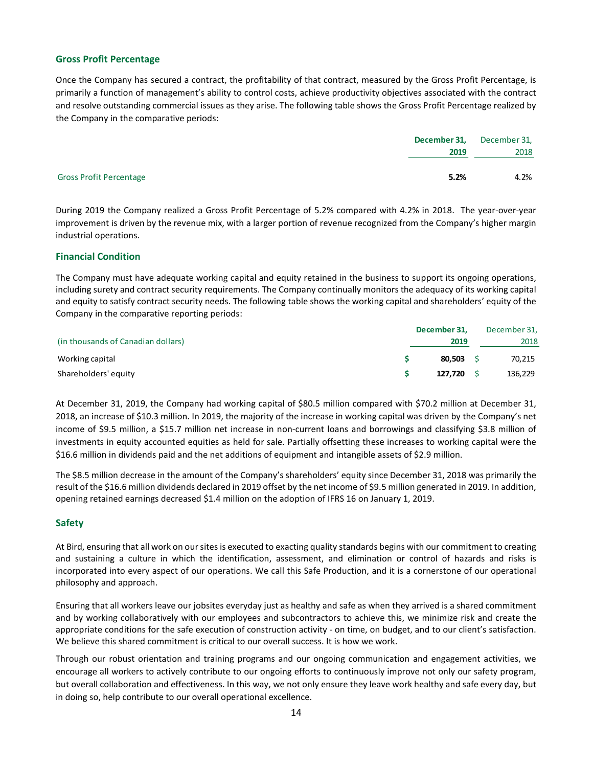## Gross Profit Percentage

Once the Company has secured a contract, the profitability of that contract, measured by the Gross Profit Percentage, is primarily a function of management's ability to control costs, achieve productivity objectives associated with the contract and resolve outstanding commercial issues as they arise. The following table shows the Gross Profit Percentage realized by the Company in the comparative periods:

| 2018<br>2019 |                                | December 31, | December 31, |
|--------------|--------------------------------|--------------|--------------|
|              |                                |              |              |
|              |                                |              |              |
|              | <b>Gross Profit Percentage</b> | 5.2%         | 4.2%         |

During 2019 the Company realized a Gross Profit Percentage of 5.2% compared with 4.2% in 2018. The year-over-year improvement is driven by the revenue mix, with a larger portion of revenue recognized from the Company's higher margin industrial operations.

## Financial Condition

The Company must have adequate working capital and equity retained in the business to support its ongoing operations, including surety and contract security requirements. The Company continually monitors the adequacy of its working capital and equity to satisfy contract security needs. The following table shows the working capital and shareholders' equity of the Company in the comparative reporting periods:

|                                    | December 31, | December 31, |  |
|------------------------------------|--------------|--------------|--|
| (in thousands of Canadian dollars) | 2019         | 2018         |  |
| Working capital                    | 80,503       | 70,215       |  |
| Shareholders' equity               | 127.720      | 136,229      |  |

At December 31, 2019, the Company had working capital of \$80.5 million compared with \$70.2 million at December 31, 2018, an increase of \$10.3 million. In 2019, the majority of the increase in working capital was driven by the Company's net income of \$9.5 million, a \$15.7 million net increase in non-current loans and borrowings and classifying \$3.8 million of investments in equity accounted equities as held for sale. Partially offsetting these increases to working capital were the \$16.6 million in dividends paid and the net additions of equipment and intangible assets of \$2.9 million.

The \$8.5 million decrease in the amount of the Company's shareholders' equity since December 31, 2018 was primarily the result of the \$16.6 million dividends declared in 2019 offset by the net income of \$9.5 million generated in 2019. In addition, opening retained earnings decreased \$1.4 million on the adoption of IFRS 16 on January 1, 2019.

## Safety

At Bird, ensuring that all work on our sites is executed to exacting quality standards begins with our commitment to creating and sustaining a culture in which the identification, assessment, and elimination or control of hazards and risks is incorporated into every aspect of our operations. We call this Safe Production, and it is a cornerstone of our operational philosophy and approach.

Ensuring that all workers leave our jobsites everyday just as healthy and safe as when they arrived is a shared commitment and by working collaboratively with our employees and subcontractors to achieve this, we minimize risk and create the appropriate conditions for the safe execution of construction activity - on time, on budget, and to our client's satisfaction. We believe this shared commitment is critical to our overall success. It is how we work.

Through our robust orientation and training programs and our ongoing communication and engagement activities, we encourage all workers to actively contribute to our ongoing efforts to continuously improve not only our safety program, but overall collaboration and effectiveness. In this way, we not only ensure they leave work healthy and safe every day, but in doing so, help contribute to our overall operational excellence.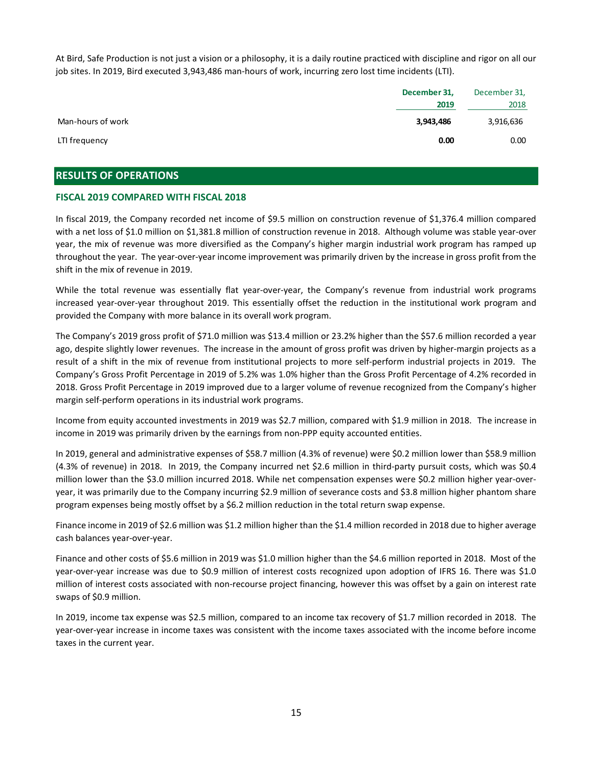At Bird, Safe Production is not just a vision or a philosophy, it is a daily routine practiced with discipline and rigor on all our job sites. In 2019, Bird executed 3,943,486 man-hours of work, incurring zero lost time incidents (LTI).

|                   | December 31,<br>2019 | December 31,<br>2018 |  |
|-------------------|----------------------|----------------------|--|
| Man-hours of work | 3,943,486            | 3,916,636            |  |
| LTI frequency     | 0.00                 | 0.00                 |  |

# RESULTS OF OPERATIONS

#### FISCAL 2019 COMPARED WITH FISCAL 2018

In fiscal 2019, the Company recorded net income of \$9.5 million on construction revenue of \$1,376.4 million compared with a net loss of \$1.0 million on \$1,381.8 million of construction revenue in 2018. Although volume was stable year-over year, the mix of revenue was more diversified as the Company's higher margin industrial work program has ramped up throughout the year. The year-over-year income improvement was primarily driven by the increase in gross profit from the shift in the mix of revenue in 2019.

While the total revenue was essentially flat year-over-year, the Company's revenue from industrial work programs increased year-over-year throughout 2019. This essentially offset the reduction in the institutional work program and provided the Company with more balance in its overall work program.

The Company's 2019 gross profit of \$71.0 million was \$13.4 million or 23.2% higher than the \$57.6 million recorded a year ago, despite slightly lower revenues. The increase in the amount of gross profit was driven by higher-margin projects as a result of a shift in the mix of revenue from institutional projects to more self-perform industrial projects in 2019. The Company's Gross Profit Percentage in 2019 of 5.2% was 1.0% higher than the Gross Profit Percentage of 4.2% recorded in 2018. Gross Profit Percentage in 2019 improved due to a larger volume of revenue recognized from the Company's higher margin self-perform operations in its industrial work programs.

Income from equity accounted investments in 2019 was \$2.7 million, compared with \$1.9 million in 2018. The increase in income in 2019 was primarily driven by the earnings from non-PPP equity accounted entities.

In 2019, general and administrative expenses of \$58.7 million (4.3% of revenue) were \$0.2 million lower than \$58.9 million (4.3% of revenue) in 2018. In 2019, the Company incurred net \$2.6 million in third-party pursuit costs, which was \$0.4 million lower than the \$3.0 million incurred 2018. While net compensation expenses were \$0.2 million higher year-overyear, it was primarily due to the Company incurring \$2.9 million of severance costs and \$3.8 million higher phantom share program expenses being mostly offset by a \$6.2 million reduction in the total return swap expense.

Finance income in 2019 of \$2.6 million was \$1.2 million higher than the \$1.4 million recorded in 2018 due to higher average cash balances year-over-year.

Finance and other costs of \$5.6 million in 2019 was \$1.0 million higher than the \$4.6 million reported in 2018. Most of the year-over-year increase was due to \$0.9 million of interest costs recognized upon adoption of IFRS 16. There was \$1.0 million of interest costs associated with non-recourse project financing, however this was offset by a gain on interest rate swaps of \$0.9 million.

In 2019, income tax expense was \$2.5 million, compared to an income tax recovery of \$1.7 million recorded in 2018. The year-over-year increase in income taxes was consistent with the income taxes associated with the income before income taxes in the current year.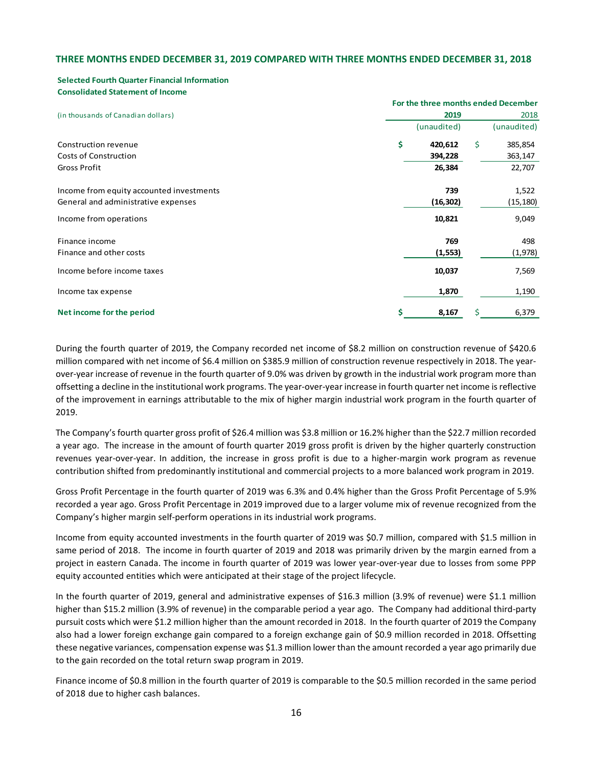### THREE MONTHS ENDED DECEMBER 31, 2019 COMPARED WITH THREE MONTHS ENDED DECEMBER 31, 2018

#### Selected Fourth Quarter Financial Information Consolidated Statement of Income

| THREE MONTHS ENDED DECEMBER 31, 2019 COMPARED WITH THREE MONTHS ENDED DECEMBER 31, 2018<br><b>Selected Fourth Quarter Financial Information</b><br><b>Consolidated Statement of Income</b> |     |             |                                     |
|--------------------------------------------------------------------------------------------------------------------------------------------------------------------------------------------|-----|-------------|-------------------------------------|
|                                                                                                                                                                                            |     |             |                                     |
|                                                                                                                                                                                            |     |             |                                     |
|                                                                                                                                                                                            |     |             |                                     |
|                                                                                                                                                                                            |     |             |                                     |
|                                                                                                                                                                                            |     |             |                                     |
|                                                                                                                                                                                            |     |             |                                     |
|                                                                                                                                                                                            |     |             |                                     |
|                                                                                                                                                                                            |     |             | For the three months ended December |
| (in thousands of Canadian dollars)                                                                                                                                                         |     | 2019        | 2018                                |
|                                                                                                                                                                                            |     | (unaudited) | (unaudited)                         |
| Construction revenue                                                                                                                                                                       | \$. | 420,612     | $\mathsf{S}$<br>385,854             |
| Costs of Construction                                                                                                                                                                      |     | 394,228     | 363,147                             |
| Gross Profit                                                                                                                                                                               |     | 26,384      | 22,707                              |
| Income from equity accounted investments                                                                                                                                                   |     | 739         | 1,522                               |
| General and administrative expenses                                                                                                                                                        |     | (16, 302)   | (15, 180)                           |
| Income from operations                                                                                                                                                                     |     | 10,821      | 9,049                               |
| Finance income                                                                                                                                                                             |     | 769         | 498                                 |
| Finance and other costs                                                                                                                                                                    |     | (1, 553)    | (1,978)                             |
|                                                                                                                                                                                            |     | 10,037      | 7,569                               |
| Income before income taxes                                                                                                                                                                 |     |             |                                     |
| Income tax expense                                                                                                                                                                         |     | 1,870       | 1,190                               |

During the fourth quarter of 2019, the Company recorded net income of \$8.2 million on construction revenue of \$420.6 million compared with net income of \$6.4 million on \$385.9 million of construction revenue respectively in 2018. The yearover-year increase of revenue in the fourth quarter of 9.0% was driven by growth in the industrial work program more than offsetting a decline in the institutional work programs. The year-over-year increase in fourth quarter net income is reflective of the improvement in earnings attributable to the mix of higher margin industrial work program in the fourth quarter of 2019.

The Company's fourth quarter gross profit of \$26.4 million was \$3.8 million or 16.2% higher than the \$22.7 million recorded a year ago. The increase in the amount of fourth quarter 2019 gross profit is driven by the higher quarterly construction revenues year-over-year. In addition, the increase in gross profit is due to a higher-margin work program as revenue contribution shifted from predominantly institutional and commercial projects to a more balanced work program in 2019.

Gross Profit Percentage in the fourth quarter of 2019 was 6.3% and 0.4% higher than the Gross Profit Percentage of 5.9% recorded a year ago. Gross Profit Percentage in 2019 improved due to a larger volume mix of revenue recognized from the Company's higher margin self-perform operations in its industrial work programs.

Income from equity accounted investments in the fourth quarter of 2019 was \$0.7 million, compared with \$1.5 million in same period of 2018. The income in fourth quarter of 2019 and 2018 was primarily driven by the margin earned from a project in eastern Canada. The income in fourth quarter of 2019 was lower year-over-year due to losses from some PPP equity accounted entities which were anticipated at their stage of the project lifecycle.

In the fourth quarter of 2019, general and administrative expenses of \$16.3 million (3.9% of revenue) were \$1.1 million higher than \$15.2 million (3.9% of revenue) in the comparable period a year ago. The Company had additional third-party pursuit costs which were \$1.2 million higher than the amount recorded in 2018. In the fourth quarter of 2019 the Company also had a lower foreign exchange gain compared to a foreign exchange gain of \$0.9 million recorded in 2018. Offsetting these negative variances, compensation expense was \$1.3 million lower than the amount recorded a year ago primarily due to the gain recorded on the total return swap program in 2019.

Finance income of \$0.8 million in the fourth quarter of 2019 is comparable to the \$0.5 million recorded in the same period of 2018 due to higher cash balances.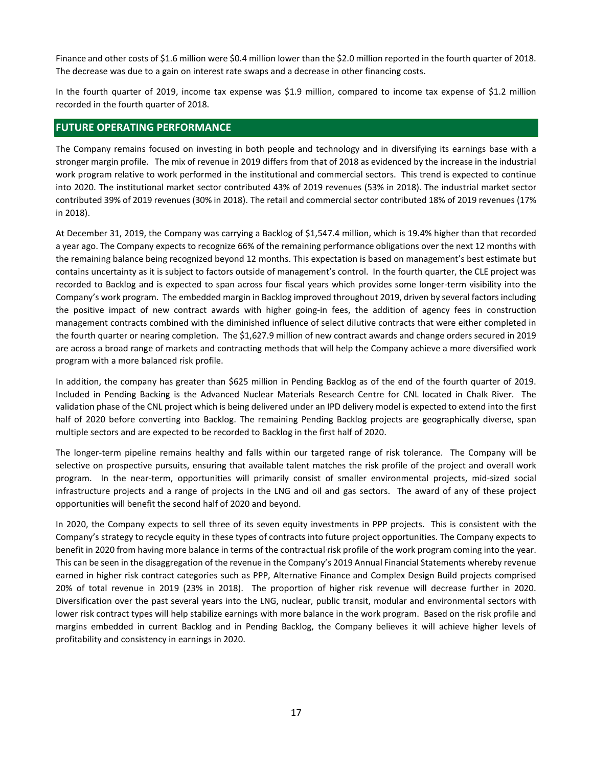Finance and other costs of \$1.6 million were \$0.4 million lower than the \$2.0 million reported in the fourth quarter of 2018. The decrease was due to a gain on interest rate swaps and a decrease in other financing costs.

In the fourth quarter of 2019, income tax expense was \$1.9 million, compared to income tax expense of \$1.2 million recorded in the fourth quarter of 2018.

## FUTURE OPERATING PERFORMANCE

The Company remains focused on investing in both people and technology and in diversifying its earnings base with a stronger margin profile. The mix of revenue in 2019 differs from that of 2018 as evidenced by the increase in the industrial work program relative to work performed in the institutional and commercial sectors. This trend is expected to continue into 2020. The institutional market sector contributed 43% of 2019 revenues (53% in 2018). The industrial market sector contributed 39% of 2019 revenues (30% in 2018). The retail and commercial sector contributed 18% of 2019 revenues (17% in 2018).

At December 31, 2019, the Company was carrying a Backlog of \$1,547.4 million, which is 19.4% higher than that recorded a year ago. The Company expects to recognize 66% of the remaining performance obligations over the next 12 months with the remaining balance being recognized beyond 12 months. This expectation is based on management's best estimate but contains uncertainty as it is subject to factors outside of management's control. In the fourth quarter, the CLE project was recorded to Backlog and is expected to span across four fiscal years which provides some longer-term visibility into the Company's work program. The embedded margin in Backlog improved throughout 2019, driven by several factors including the positive impact of new contract awards with higher going-in fees, the addition of agency fees in construction management contracts combined with the diminished influence of select dilutive contracts that were either completed in the fourth quarter or nearing completion. The \$1,627.9 million of new contract awards and change orders secured in 2019 are across a broad range of markets and contracting methods that will help the Company achieve a more diversified work program with a more balanced risk profile.

In addition, the company has greater than \$625 million in Pending Backlog as of the end of the fourth quarter of 2019. Included in Pending Backing is the Advanced Nuclear Materials Research Centre for CNL located in Chalk River. The validation phase of the CNL project which is being delivered under an IPD delivery model is expected to extend into the first half of 2020 before converting into Backlog. The remaining Pending Backlog projects are geographically diverse, span multiple sectors and are expected to be recorded to Backlog in the first half of 2020.

The longer-term pipeline remains healthy and falls within our targeted range of risk tolerance. The Company will be selective on prospective pursuits, ensuring that available talent matches the risk profile of the project and overall work program. In the near-term, opportunities will primarily consist of smaller environmental projects, mid-sized social infrastructure projects and a range of projects in the LNG and oil and gas sectors. The award of any of these project opportunities will benefit the second half of 2020 and beyond.

In 2020, the Company expects to sell three of its seven equity investments in PPP projects. This is consistent with the Company's strategy to recycle equity in these types of contracts into future project opportunities. The Company expects to benefit in 2020 from having more balance in terms of the contractual risk profile of the work program coming into the year. This can be seen in the disaggregation of the revenue in the Company's 2019 Annual Financial Statements whereby revenue earned in higher risk contract categories such as PPP, Alternative Finance and Complex Design Build projects comprised 20% of total revenue in 2019 (23% in 2018). The proportion of higher risk revenue will decrease further in 2020. Diversification over the past several years into the LNG, nuclear, public transit, modular and environmental sectors with lower risk contract types will help stabilize earnings with more balance in the work program. Based on the risk profile and margins embedded in current Backlog and in Pending Backlog, the Company believes it will achieve higher levels of profitability and consistency in earnings in 2020.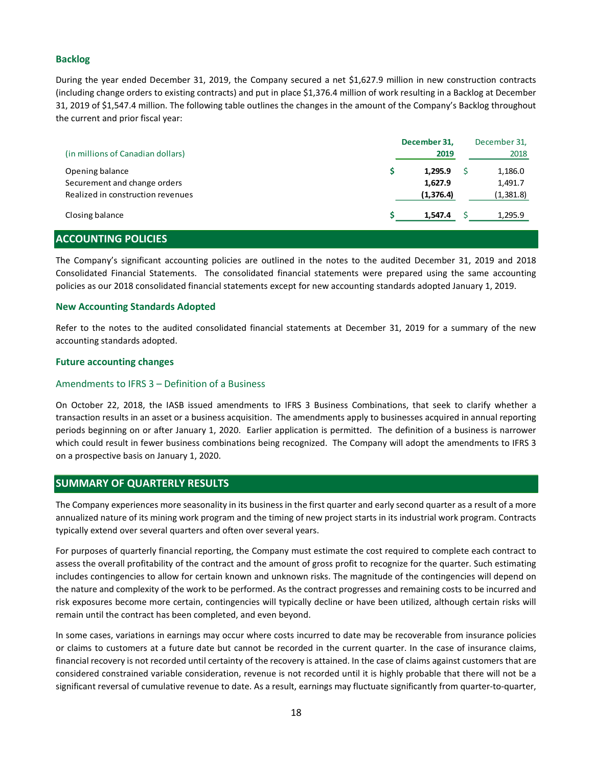# Backlog

During the year ended December 31, 2019, the Company secured a net \$1,627.9 million in new construction contracts (including change orders to existing contracts) and put in place \$1,376.4 million of work resulting in a Backlog at December 31, 2019 of \$1,547.4 million. The following table outlines the changes in the amount of the Company's Backlog throughout the current and prior fiscal year:

|                                   | December 31, | December 31, |
|-----------------------------------|--------------|--------------|
| (in millions of Canadian dollars) | 2019         | 2018         |
| Opening balance                   | 1,295.9      | 1,186.0      |
| Securement and change orders      | 1,627.9      | 1,491.7      |
| Realized in construction revenues | (1,376.4)    | (1,381.8)    |
| Closing balance                   | 1,547.4      | 1,295.9      |
| <b>ACCOUNTING POLICIES</b>        |              |              |

# The Company's significant accounting policies are outlined in the notes to the audited December 31, 2019 and 2018 Consolidated Financial Statements. The consolidated financial statements were prepared using the same accounting policies as our 2018 consolidated financial statements except for new accounting standards adopted January 1, 2019.

## New Accounting Standards Adopted

Refer to the notes to the audited consolidated financial statements at December 31, 2019 for a summary of the new accounting standards adopted.

#### Future accounting changes

#### Amendments to IFRS 3 – Definition of a Business

On October 22, 2018, the IASB issued amendments to IFRS 3 Business Combinations, that seek to clarify whether a transaction results in an asset or a business acquisition. The amendments apply to businesses acquired in annual reporting periods beginning on or after January 1, 2020. Earlier application is permitted. The definition of a business is narrower which could result in fewer business combinations being recognized. The Company will adopt the amendments to IFRS 3 on a prospective basis on January 1, 2020.

## SUMMARY OF QUARTERLY RESULTS

The Company experiences more seasonality in its business in the first quarter and early second quarter as a result of a more annualized nature of its mining work program and the timing of new project starts in its industrial work program. Contracts typically extend over several quarters and often over several years.

For purposes of quarterly financial reporting, the Company must estimate the cost required to complete each contract to assess the overall profitability of the contract and the amount of gross profit to recognize for the quarter. Such estimating includes contingencies to allow for certain known and unknown risks. The magnitude of the contingencies will depend on the nature and complexity of the work to be performed. As the contract progresses and remaining costs to be incurred and risk exposures become more certain, contingencies will typically decline or have been utilized, although certain risks will remain until the contract has been completed, and even beyond.

In some cases, variations in earnings may occur where costs incurred to date may be recoverable from insurance policies or claims to customers at a future date but cannot be recorded in the current quarter. In the case of insurance claims, financial recovery is not recorded until certainty of the recovery is attained. In the case of claims against customers that are considered constrained variable consideration, revenue is not recorded until it is highly probable that there will not be a significant reversal of cumulative revenue to date. As a result, earnings may fluctuate significantly from quarter-to-quarter,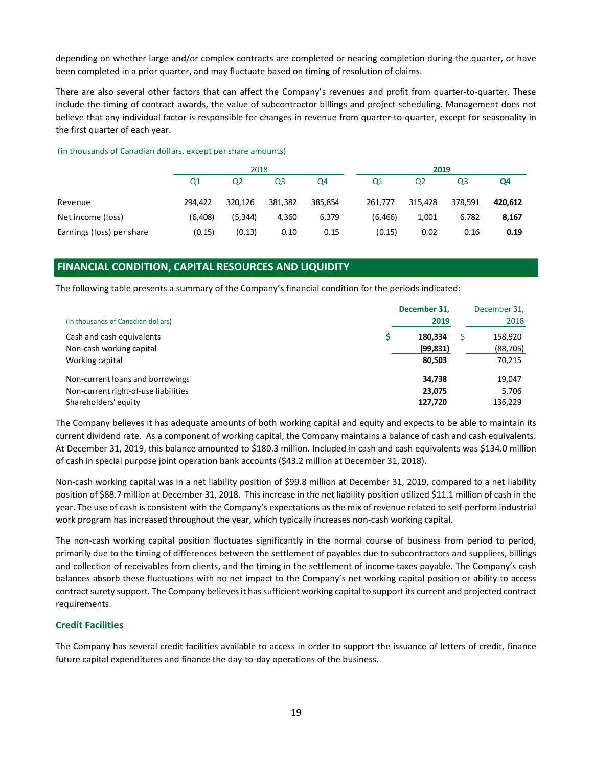#### (in thousands of Canadian dollars, except per share amounts)

| depending on whether large and/or complex contracts are completed or nearing completion during the quarter, or have<br>been completed in a prior quarter, and may fluctuate based on timing of resolution of claims.<br>There are also several other factors that can affect the Company's revenues and profit from quarter-to-quarter. These | include the timing of contract awards, the value of subcontractor billings and project scheduling. Management does not |                        |         |          |                |                |         |
|-----------------------------------------------------------------------------------------------------------------------------------------------------------------------------------------------------------------------------------------------------------------------------------------------------------------------------------------------|------------------------------------------------------------------------------------------------------------------------|------------------------|---------|----------|----------------|----------------|---------|
| believe that any individual factor is responsible for changes in revenue from quarter-to-quarter, except for seasonality in<br>the first quarter of each year.                                                                                                                                                                                |                                                                                                                        |                        |         |          |                |                |         |
|                                                                                                                                                                                                                                                                                                                                               |                                                                                                                        |                        |         |          | 2019           |                |         |
| (in thousands of Canadian dollars, except per share amounts)                                                                                                                                                                                                                                                                                  | Q <sub>2</sub><br>Q1                                                                                                   | 2018<br>Q <sub>3</sub> | Q4      | Q1       | Q <sub>2</sub> | Q <sub>3</sub> | Q4      |
| Revenue                                                                                                                                                                                                                                                                                                                                       | 294,422                                                                                                                | 320,126<br>381,382     | 385,854 | 261,777  | 315,428        | 378,591        | 420,612 |
| Net income (loss)                                                                                                                                                                                                                                                                                                                             | (6,408)                                                                                                                | (5, 344)<br>4,360      | 6,379   | (6, 466) | 1,001          | 6,782          | 8,167   |

# FINANCIAL CONDITION, CAPITAL RESOURCES AND LIQUIDITY

|                                      | December 31, | December 31, |
|--------------------------------------|--------------|--------------|
| (in thousands of Canadian dollars)   | 2019         | 2018         |
| Cash and cash equivalents            | 180,334      | 158,920      |
| Non-cash working capital             | (99, 831)    | (88, 705)    |
| Working capital                      | 80,503       | 70,215       |
| Non-current loans and borrowings     | 34,738       | 19,047       |
| Non-current right-of-use liabilities | 23,075       | 5,706        |
| Shareholders' equity                 | 127,720      | 136,229      |

The Company believes it has adequate amounts of both working capital and equity and expects to be able to maintain its current dividend rate. As a component of working capital, the Company maintains a balance of cash and cash equivalents. At December 31, 2019, this balance amounted to \$180.3 million. Included in cash and cash equivalents was \$134.0 million of cash in special purpose joint operation bank accounts (\$43.2 million at December 31, 2018).

Non-cash working capital was in a net liability position of \$99.8 million at December 31, 2019, compared to a net liability position of \$88.7 million at December 31, 2018. This increase in the net liability position utilized \$11.1 million of cash in the year. The use of cash is consistent with the Company's expectations as the mix of revenue related to self-perform industrial work program has increased throughout the year, which typically increases non-cash working capital.

The non-cash working capital position fluctuates significantly in the normal course of business from period to period, primarily due to the timing of differences between the settlement of payables due to subcontractors and suppliers, billings and collection of receivables from clients, and the timing in the settlement of income taxes payable. The Company's cash balances absorb these fluctuations with no net impact to the Company's net working capital position or ability to access contract surety support. The Company believes it has sufficient working capital to support its current and projected contract requirements.

## Credit Facilities

The Company has several credit facilities available to access in order to support the issuance of letters of credit, finance future capital expenditures and finance the day-to-day operations of the business.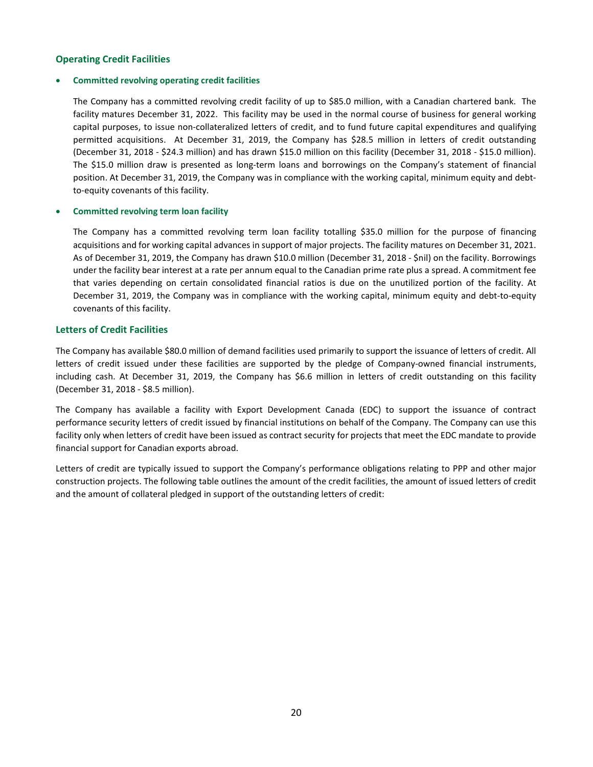# Operating Credit Facilities

### Committed revolving operating credit facilities

The Company has a committed revolving credit facility of up to \$85.0 million, with a Canadian chartered bank. The facility matures December 31, 2022. This facility may be used in the normal course of business for general working capital purposes, to issue non-collateralized letters of credit, and to fund future capital expenditures and qualifying permitted acquisitions. At December 31, 2019, the Company has \$28.5 million in letters of credit outstanding (December 31, 2018 - \$24.3 million) and has drawn \$15.0 million on this facility (December 31, 2018 - \$15.0 million). The \$15.0 million draw is presented as long-term loans and borrowings on the Company's statement of financial position. At December 31, 2019, the Company was in compliance with the working capital, minimum equity and debtto-equity covenants of this facility.

#### Committed revolving term loan facility

The Company has a committed revolving term loan facility totalling \$35.0 million for the purpose of financing acquisitions and for working capital advances in support of major projects. The facility matures on December 31, 2021. As of December 31, 2019, the Company has drawn \$10.0 million (December 31, 2018 - \$nil) on the facility. Borrowings under the facility bear interest at a rate per annum equal to the Canadian prime rate plus a spread. A commitment fee that varies depending on certain consolidated financial ratios is due on the unutilized portion of the facility. At December 31, 2019, the Company was in compliance with the working capital, minimum equity and debt-to-equity covenants of this facility.

## Letters of Credit Facilities

The Company has available \$80.0 million of demand facilities used primarily to support the issuance of letters of credit. All letters of credit issued under these facilities are supported by the pledge of Company-owned financial instruments, including cash. At December 31, 2019, the Company has \$6.6 million in letters of credit outstanding on this facility (December 31, 2018 - \$8.5 million).

The Company has available a facility with Export Development Canada (EDC) to support the issuance of contract performance security letters of credit issued by financial institutions on behalf of the Company. The Company can use this facility only when letters of credit have been issued as contract security for projects that meet the EDC mandate to provide financial support for Canadian exports abroad.

Letters of credit are typically issued to support the Company's performance obligations relating to PPP and other major construction projects. The following table outlines the amount of the credit facilities, the amount of issued letters of credit and the amount of collateral pledged in support of the outstanding letters of credit: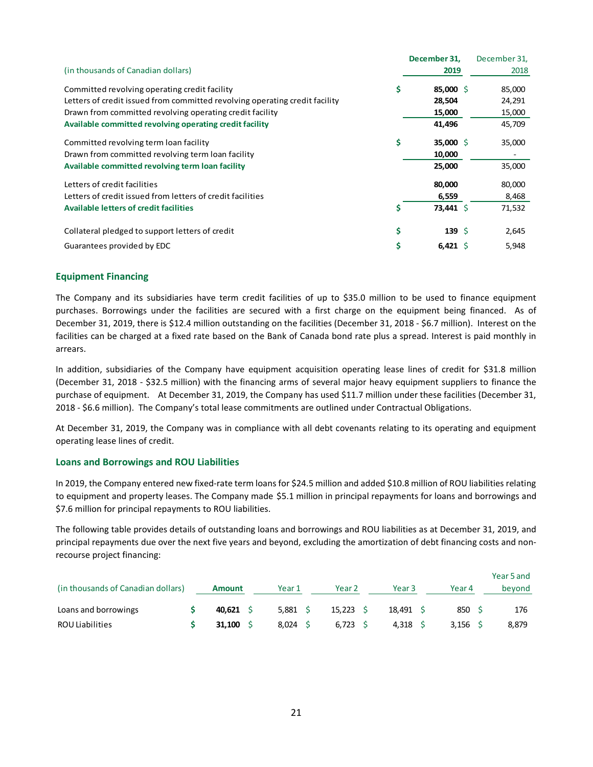|                                                                             | December 31,            | December 31, |
|-----------------------------------------------------------------------------|-------------------------|--------------|
| (in thousands of Canadian dollars)                                          | 2019                    | 2018         |
| Committed revolving operating credit facility                               | \$<br>85,000 \$         | 85,000       |
| Letters of credit issued from committed revolving operating credit facility | 28,504                  | 24,291       |
| Drawn from committed revolving operating credit facility                    | 15,000                  | 15,000       |
| Available committed revolving operating credit facility                     | 41,496                  | 45,709       |
| Committed revolving term loan facility                                      | \$<br>35,000 \$         | 35,000       |
| Drawn from committed revolving term loan facility                           | 10,000                  |              |
| Available committed revolving term loan facility                            | 25,000                  | 35,000       |
| Letters of credit facilities                                                | 80,000                  | 80,000       |
| Letters of credit issued from letters of credit facilities                  | 6,559                   | 8,468        |
| <b>Available letters of credit facilities</b>                               | \$<br>73,441 \$         | 71,532       |
| Collateral pledged to support letters of credit                             | \$<br>139 $\frac{1}{2}$ | 2,645        |
| Guarantees provided by EDC                                                  | \$<br>6,421 \$          | 5,948        |

## Equipment Financing

The Company and its subsidiaries have term credit facilities of up to \$35.0 million to be used to finance equipment purchases. Borrowings under the facilities are secured with a first charge on the equipment being financed. As of December 31, 2019, there is \$12.4 million outstanding on the facilities (December 31, 2018 - \$6.7 million). Interest on the facilities can be charged at a fixed rate based on the Bank of Canada bond rate plus a spread. Interest is paid monthly in arrears.

## Loans and Borrowings and ROU Liabilities

| arrears.                                                                                                                                                                                                                                                                                                                                                                                                                                                                              |                 |            |                   |             |            |            |  |
|---------------------------------------------------------------------------------------------------------------------------------------------------------------------------------------------------------------------------------------------------------------------------------------------------------------------------------------------------------------------------------------------------------------------------------------------------------------------------------------|-----------------|------------|-------------------|-------------|------------|------------|--|
| In addition, subsidiaries of the Company have equipment acquisition operating lease lines of credit for \$31.8 million<br>(December 31, 2018 - \$32.5 million) with the financing arms of several major heavy equipment suppliers to finance the<br>purchase of equipment. At December 31, 2019, the Company has used \$11.7 million under these facilities (December 31,<br>2018 - \$6.6 million). The Company's total lease commitments are outlined under Contractual Obligations. |                 |            |                   |             |            |            |  |
| At December 31, 2019, the Company was in compliance with all debt covenants relating to its operating and equipment<br>operating lease lines of credit.                                                                                                                                                                                                                                                                                                                               |                 |            |                   |             |            |            |  |
| <b>Loans and Borrowings and ROU Liabilities</b>                                                                                                                                                                                                                                                                                                                                                                                                                                       |                 |            |                   |             |            |            |  |
| In 2019, the Company entered new fixed-rate term loans for \$24.5 million and added \$10.8 million of ROU liabilities relating<br>to equipment and property leases. The Company made \$5.1 million in principal repayments for loans and borrowings and<br>\$7.6 million for principal repayments to ROU liabilities.                                                                                                                                                                 |                 |            |                   |             |            |            |  |
| The following table provides details of outstanding loans and borrowings and ROU liabilities as at December 31, 2019, and<br>principal repayments due over the next five years and beyond, excluding the amortization of debt financing costs and non-<br>recourse project financing:                                                                                                                                                                                                 |                 |            |                   |             |            |            |  |
|                                                                                                                                                                                                                                                                                                                                                                                                                                                                                       |                 |            |                   |             |            | Year 5 and |  |
| (in thousands of Canadian dollars)                                                                                                                                                                                                                                                                                                                                                                                                                                                    | <b>Amount</b>   | Year 1     | Year <sub>2</sub> | Year 3      | Year 4     | beyond     |  |
| Loans and borrowings                                                                                                                                                                                                                                                                                                                                                                                                                                                                  | 40,621 \$       | $5,881$ \$ | $15,223$ \$       | $18,491$ \$ | 850 \$     | 176        |  |
| <b>ROU Liabilities</b>                                                                                                                                                                                                                                                                                                                                                                                                                                                                | \$<br>31,100 \$ | $8,024$ \$ | $6,723$ \$        | 4,318 \$    | $3,156$ \$ | 8,879      |  |
|                                                                                                                                                                                                                                                                                                                                                                                                                                                                                       |                 |            |                   |             |            |            |  |
|                                                                                                                                                                                                                                                                                                                                                                                                                                                                                       |                 |            |                   |             |            |            |  |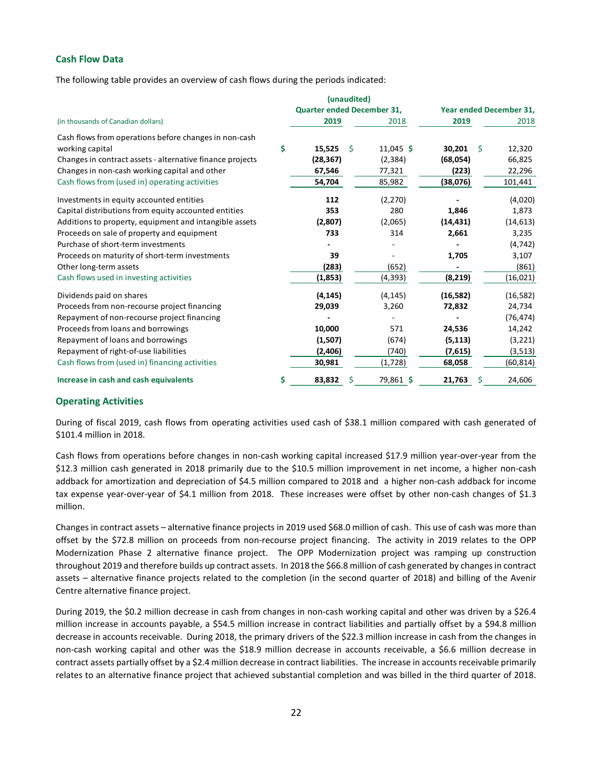# Cash Flow Data

The following table provides an overview of cash flows during the periods indicated:

|                                                           |                            | (unaudited)  |             |           |                         |
|-----------------------------------------------------------|----------------------------|--------------|-------------|-----------|-------------------------|
|                                                           | Quarter ended December 31, |              |             |           | Year ended December 31, |
| (in thousands of Canadian dollars)                        | 2019                       |              | 2018        | 2019      | 2018                    |
| Cash flows from operations before changes in non-cash     |                            |              |             |           |                         |
| working capital                                           | \$<br>$15,525$ \$          |              | $11,045$ \$ | 30,201    | -S<br>12,320            |
| Changes in contract assets - alternative finance projects | (28, 367)                  |              | (2, 384)    | (68, 054) | 66,825                  |
| Changes in non-cash working capital and other             | 67,546                     |              | 77,321      | (223)     | 22,296                  |
| Cash flows from (used in) operating activities            | 54,704                     |              | 85,982      | (38,076)  | 101,441                 |
| Investments in equity accounted entities                  | 112                        |              | (2, 270)    |           | (4,020)                 |
| Capital distributions from equity accounted entities      | 353                        |              | 280         | 1,846     | 1,873                   |
| Additions to property, equipment and intangible assets    | (2,807)                    |              | (2,065)     | (14, 431) | (14, 613)               |
| Proceeds on sale of property and equipment                | 733                        |              | 314         | 2,661     | 3,235                   |
| Purchase of short-term investments                        |                            |              |             |           | (4, 742)                |
| Proceeds on maturity of short-term investments            | 39                         |              |             | 1,705     | 3,107                   |
| Other long-term assets                                    | (283)                      |              | (652)       |           | (861)                   |
| Cash flows used in investing activities                   | (1,853)                    |              | (4, 393)    | (8, 219)  | (16, 021)               |
| Dividends paid on shares                                  | (4, 145)                   |              | (4, 145)    | (16, 582) | (16, 582)               |
| Proceeds from non-recourse project financing              | 29,039                     |              | 3,260       | 72,832    | 24,734                  |
| Repayment of non-recourse project financing               |                            |              |             |           | (76, 474)               |
| Proceeds from loans and borrowings                        | 10,000                     |              | 571         | 24,536    | 14,242                  |
| Repayment of loans and borrowings                         | (1,507)                    |              | (674)       | (5, 113)  | (3, 221)                |
| Repayment of right-of-use liabilities                     | (2,406)                    |              | (740)       | (7,615)   | (3, 513)                |
| Cash flows from (used in) financing activities            | 30,981                     |              | (1,728)     | 68,058    | (60, 814)               |
| Increase in cash and cash equivalents                     | \$<br>83,832               | <sub>S</sub> | 79,861 \$   | 21,763    | 24,606<br>S.            |
| <b>Operating Activities</b>                               |                            |              |             |           |                         |

## Operating Activities

Cash flows from operations before changes in non-cash working capital increased \$17.9 million year-over-year from the \$12.3 million cash generated in 2018 primarily due to the \$10.5 million improvement in net income, a higher non-cash addback for amortization and depreciation of \$4.5 million compared to 2018 and a higher non-cash addback for income tax expense year-over-year of \$4.1 million from 2018. These increases were offset by other non-cash changes of \$1.3 million.

Changes in contract assets – alternative finance projects in 2019 used \$68.0 million of cash. This use of cash was more than offset by the \$72.8 million on proceeds from non-recourse project financing. The activity in 2019 relates to the OPP Modernization Phase 2 alternative finance project. The OPP Modernization project was ramping up construction throughout 2019 and therefore builds up contract assets. In 2018 the \$66.8 million of cash generated by changes in contract assets – alternative finance projects related to the completion (in the second quarter of 2018) and billing of the Avenir Centre alternative finance project.

During 2019, the \$0.2 million decrease in cash from changes in non-cash working capital and other was driven by a \$26.4 million increase in accounts payable, a \$54.5 million increase in contract liabilities and partially offset by a \$94.8 million decrease in accounts receivable. During 2018, the primary drivers of the \$22.3 million increase in cash from the changes in non-cash working capital and other was the \$18.9 million decrease in accounts receivable, a \$6.6 million decrease in contract assets partially offset by a \$2.4 million decrease in contract liabilities. The increase in accounts receivable primarily relates to an alternative finance project that achieved substantial completion and was billed in the third quarter of 2018.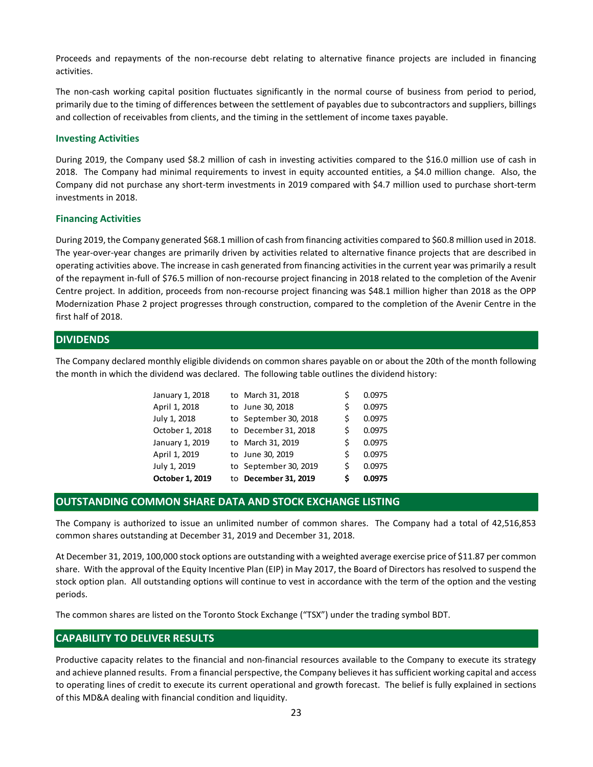Proceeds and repayments of the non-recourse debt relating to alternative finance projects are included in financing activities.

The non-cash working capital position fluctuates significantly in the normal course of business from period to period, primarily due to the timing of differences between the settlement of payables due to subcontractors and suppliers, billings and collection of receivables from clients, and the timing in the settlement of income taxes payable.

#### Investing Activities

During 2019, the Company used \$8.2 million of cash in investing activities compared to the \$16.0 million use of cash in 2018. The Company had minimal requirements to invest in equity accounted entities, a \$4.0 million change. Also, the Company did not purchase any short-term investments in 2019 compared with \$4.7 million used to purchase short-term investments in 2018.

#### Financing Activities

During 2019, the Company generated \$68.1 million of cash from financing activities compared to \$60.8 million used in 2018. The year-over-year changes are primarily driven by activities related to alternative finance projects that are described in operating activities above. The increase in cash generated from financing activities in the current year was primarily a result of the repayment in-full of \$76.5 million of non-recourse project financing in 2018 related to the completion of the Avenir Centre project. In addition, proceeds from non-recourse project financing was \$48.1 million higher than 2018 as the OPP Modernization Phase 2 project progresses through construction, compared to the completion of the Avenir Centre in the first half of 2018. my used \$8.2 million of cash in investing activities compared to the \$16.0 million use of cash in<br>
minimal requirements to invest in equity accounted entities, a \$4.0 million change. Also, the<br>
se any short-term investment 17 minimal requirements to invest in equity accounted entities, a \$4.0 million change. Also, the<br>
se any short-term investments in 2019 compared with \$4.7 million used to purchase short-term<br>
se any short-term investments See any short-term investments in 2019 compared with \$4.7 million used to purchase short-term<br>see any short-term investments in 2019 compared with \$4.7 million used to purchase short-term<br>sepse are primarily driven by acti by generated \$68.1 million of cash from financing activities compared to \$60.8 million used in 2018.<br>
Sees are primarily driven by activities related to alternative finance projects that are described in<br>
1. The increase i My generated \$68.1 million of cash from financing activities compared to \$60.8 million used in 2018.<br>
Ses are primarily driven by activities related to alternative finance projects that are described in<br>
E. The increase in applemented \$68.1 million of cash from financing activities compared to \$60.8 million used in 2018.<br>
E. The increase in positive is elated to alternative finance projects that are described in<br>
E. The increase in cash gene any generated \$68.1 million of cash from financing activities compared to \$60.8 million used in 2018,<br>ges are primarily driven by activities related to alternative finance projects that are described in<br>E. The increase in or generated \$68.1 million of cash from financing activities compared to \$60.8 million used in 2018.<br>
E. The increase in primarily diverto linear that is the complete finance projects that are described in<br>
the increase i

# **DIVIDENDS**

The Company declared monthly eligible dividends on common shares payable on or about the 20th of the month following the month in which the dividend was declared. The following table outlines the dividend history:

| October 1, 2019 | to December 31, 2019  | Ś | 0.0975 |
|-----------------|-----------------------|---|--------|
| uly 1, 2019     | to September 30, 2019 | Ś | 0.0975 |
| April 1, 2019   | to June 30, 2019      | Ś | 0.0975 |
| anuary 1, 2019  | to March 31, 2019     | Ś | 0.0975 |
| October 1, 2018 | to December 31, 2018  | S | 0.0975 |
| uly 1, 2018     | to September 30, 2018 | Ś | 0.0975 |
| April 1, 2018   | to June 30, 2018      | Ś | 0.0975 |
| anuary 1, 2018  | to March 31, 2018     |   | 0.0975 |

# OUTSTANDING COMMON SHARE DATA AND STOCK EXCHANGE LISTING

The Company is authorized to issue an unlimited number of common shares. The Company had a total of 42,516,853 common shares outstanding at December 31, 2019 and December 31, 2018.

At December 31, 2019, 100,000 stock options are outstanding with a weighted average exercise price of \$11.87 per common share. With the approval of the Equity Incentive Plan (EIP) in May 2017, the Board of Directors has resolved to suspend the stock option plan. All outstanding options will continue to vest in accordance with the term of the option and the vesting periods.

The common shares are listed on the Toronto Stock Exchange ("TSX") under the trading symbol BDT.

# CAPABILITY TO DELIVER RESULTS

Productive capacity relates to the financial and non-financial resources available to the Company to execute its strategy and achieve planned results. From a financial perspective, the Company believes it has sufficient working capital and access to operating lines of credit to execute its current operational and growth forecast. The belief is fully explained in sections of this MD&A dealing with financial condition and liquidity.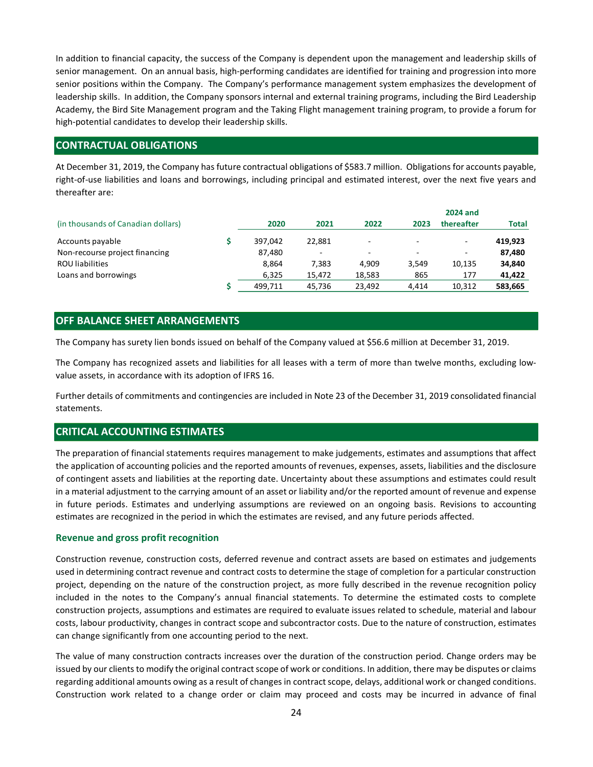# CONTRACTUAL OBLIGATIONS

| senior positions within the Company. The Company's performance management system emphasizes the development of<br>leadership skills. In addition, the Company sponsors internal and external training programs, including the Bird Leadership<br>Academy, the Bird Site Management program and the Taking Flight management training program, to provide a forum for |                          |                 | In addition to financial capacity, the success of the Company is dependent upon the management and leadership skills of<br>senior management. On an annual basis, high-performing candidates are identified for training and progression into more |              |                                 |                            |
|----------------------------------------------------------------------------------------------------------------------------------------------------------------------------------------------------------------------------------------------------------------------------------------------------------------------------------------------------------------------|--------------------------|-----------------|----------------------------------------------------------------------------------------------------------------------------------------------------------------------------------------------------------------------------------------------------|--------------|---------------------------------|----------------------------|
| high-potential candidates to develop their leadership skills.                                                                                                                                                                                                                                                                                                        |                          |                 |                                                                                                                                                                                                                                                    |              |                                 |                            |
| <b>CONTRACTUAL OBLIGATIONS</b>                                                                                                                                                                                                                                                                                                                                       |                          |                 |                                                                                                                                                                                                                                                    |              |                                 |                            |
|                                                                                                                                                                                                                                                                                                                                                                      |                          |                 |                                                                                                                                                                                                                                                    |              |                                 |                            |
| At December 31, 2019, the Company has future contractual obligations of \$583.7 million. Obligations for accounts payable,<br>right-of-use liabilities and loans and borrowings, including principal and estimated interest, over the next five years and<br>thereafter are:<br>(in thousands of Canadian dollars)                                                   | 2020                     | 2021            | 2022                                                                                                                                                                                                                                               | 2023         | <b>2024 and</b><br>thereafter   | <b>Total</b>               |
| Accounts payable                                                                                                                                                                                                                                                                                                                                                     | \$<br>397,042            | 22,881          |                                                                                                                                                                                                                                                    |              |                                 | 419,923                    |
| Non-recourse project financing<br><b>ROU</b> liabilities<br>Loans and borrowings                                                                                                                                                                                                                                                                                     | 87,480<br>8,864<br>6,325 | 7,383<br>15,472 | 4,909<br>18,583                                                                                                                                                                                                                                    | 3,549<br>865 | $\overline{a}$<br>10,135<br>177 | 87,480<br>34,840<br>41,422 |

# OFF BALANCE SHEET ARRANGEMENTS

The Company has recognized assets and liabilities for all leases with a term of more than twelve months, excluding lowvalue assets, in accordance with its adoption of IFRS 16.

Further details of commitments and contingencies are included in Note 23 of the December 31, 2019 consolidated financial statements.

# CRITICAL ACCOUNTING ESTIMATES

The preparation of financial statements requires management to make judgements, estimates and assumptions that affect the application of accounting policies and the reported amounts of revenues, expenses, assets, liabilities and the disclosure of contingent assets and liabilities at the reporting date. Uncertainty about these assumptions and estimates could result in a material adjustment to the carrying amount of an asset or liability and/or the reported amount of revenue and expense in future periods. Estimates and underlying assumptions are reviewed on an ongoing basis. Revisions to accounting estimates are recognized in the period in which the estimates are revised, and any future periods affected.

## Revenue and gross profit recognition

Construction revenue, construction costs, deferred revenue and contract assets are based on estimates and judgements used in determining contract revenue and contract costs to determine the stage of completion for a particular construction project, depending on the nature of the construction project, as more fully described in the revenue recognition policy included in the notes to the Company's annual financial statements. To determine the estimated costs to complete construction projects, assumptions and estimates are required to evaluate issues related to schedule, material and labour costs, labour productivity, changes in contract scope and subcontractor costs. Due to the nature of construction, estimates can change significantly from one accounting period to the next.

The value of many construction contracts increases over the duration of the construction period. Change orders may be issued by our clients to modify the original contract scope of work or conditions. In addition, there may be disputes or claims regarding additional amounts owing as a result of changes in contract scope, delays, additional work or changed conditions. Construction work related to a change order or claim may proceed and costs may be incurred in advance of final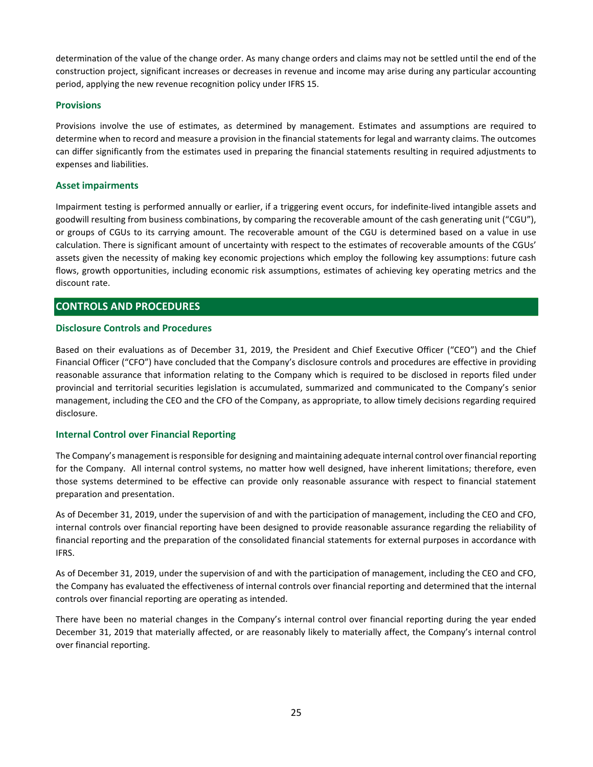determination of the value of the change order. As many change orders and claims may not be settled until the end of the construction project, significant increases or decreases in revenue and income may arise during any particular accounting period, applying the new revenue recognition policy under IFRS 15.

### **Provisions**

Provisions involve the use of estimates, as determined by management. Estimates and assumptions are required to determine when to record and measure a provision in the financial statements for legal and warranty claims. The outcomes can differ significantly from the estimates used in preparing the financial statements resulting in required adjustments to expenses and liabilities.

### Asset impairments

Impairment testing is performed annually or earlier, if a triggering event occurs, for indefinite-lived intangible assets and goodwill resulting from business combinations, by comparing the recoverable amount of the cash generating unit ("CGU"), or groups of CGUs to its carrying amount. The recoverable amount of the CGU is determined based on a value in use calculation. There is significant amount of uncertainty with respect to the estimates of recoverable amounts of the CGUs' assets given the necessity of making key economic projections which employ the following key assumptions: future cash flows, growth opportunities, including economic risk assumptions, estimates of achieving key operating metrics and the discount rate.

# CONTROLS AND PROCEDURES

#### Disclosure Controls and Procedures

Based on their evaluations as of December 31, 2019, the President and Chief Executive Officer ("CEO") and the Chief Financial Officer ("CFO") have concluded that the Company's disclosure controls and procedures are effective in providing reasonable assurance that information relating to the Company which is required to be disclosed in reports filed under provincial and territorial securities legislation is accumulated, summarized and communicated to the Company's senior management, including the CEO and the CFO of the Company, as appropriate, to allow timely decisions regarding required disclosure.

## Internal Control over Financial Reporting

The Company's management is responsible for designing and maintaining adequate internal control over financial reporting for the Company. All internal control systems, no matter how well designed, have inherent limitations; therefore, even those systems determined to be effective can provide only reasonable assurance with respect to financial statement preparation and presentation.

As of December 31, 2019, under the supervision of and with the participation of management, including the CEO and CFO, internal controls over financial reporting have been designed to provide reasonable assurance regarding the reliability of financial reporting and the preparation of the consolidated financial statements for external purposes in accordance with IFRS.

As of December 31, 2019, under the supervision of and with the participation of management, including the CEO and CFO, the Company has evaluated the effectiveness of internal controls over financial reporting and determined that the internal controls over financial reporting are operating as intended.

There have been no material changes in the Company's internal control over financial reporting during the year ended December 31, 2019 that materially affected, or are reasonably likely to materially affect, the Company's internal control over financial reporting.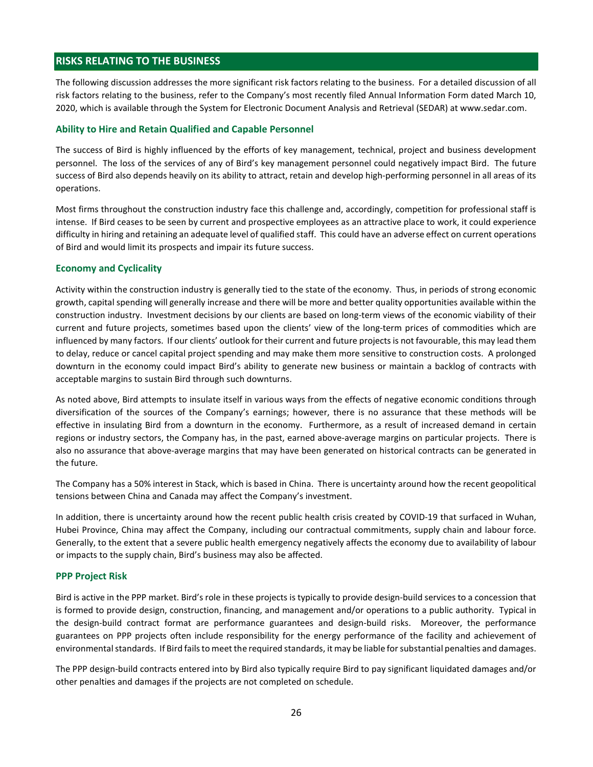# RISKS RELATING TO THE BUSINESS

The following discussion addresses the more significant risk factors relating to the business. For a detailed discussion of all risk factors relating to the business, refer to the Company's most recently filed Annual Information Form dated March 10, 2020, which is available through the System for Electronic Document Analysis and Retrieval (SEDAR) at www.sedar.com.

#### Ability to Hire and Retain Qualified and Capable Personnel

The success of Bird is highly influenced by the efforts of key management, technical, project and business development personnel. The loss of the services of any of Bird's key management personnel could negatively impact Bird. The future success of Bird also depends heavily on its ability to attract, retain and develop high-performing personnel in all areas of its operations.

Most firms throughout the construction industry face this challenge and, accordingly, competition for professional staff is intense. If Bird ceases to be seen by current and prospective employees as an attractive place to work, it could experience difficulty in hiring and retaining an adequate level of qualified staff. This could have an adverse effect on current operations of Bird and would limit its prospects and impair its future success.

#### Economy and Cyclicality

Activity within the construction industry is generally tied to the state of the economy. Thus, in periods of strong economic growth, capital spending will generally increase and there will be more and better quality opportunities available within the construction industry. Investment decisions by our clients are based on long-term views of the economic viability of their current and future projects, sometimes based upon the clients' view of the long-term prices of commodities which are influenced by many factors. If our clients' outlook for their current and future projects is not favourable, this may lead them to delay, reduce or cancel capital project spending and may make them more sensitive to construction costs. A prolonged downturn in the economy could impact Bird's ability to generate new business or maintain a backlog of contracts with acceptable margins to sustain Bird through such downturns.

As noted above, Bird attempts to insulate itself in various ways from the effects of negative economic conditions through diversification of the sources of the Company's earnings; however, there is no assurance that these methods will be effective in insulating Bird from a downturn in the economy. Furthermore, as a result of increased demand in certain regions or industry sectors, the Company has, in the past, earned above-average margins on particular projects. There is also no assurance that above-average margins that may have been generated on historical contracts can be generated in the future.

The Company has a 50% interest in Stack, which is based in China. There is uncertainty around how the recent geopolitical tensions between China and Canada may affect the Company's investment.

In addition, there is uncertainty around how the recent public health crisis created by COVID-19 that surfaced in Wuhan, Hubei Province, China may affect the Company, including our contractual commitments, supply chain and labour force. Generally, to the extent that a severe public health emergency negatively affects the economy due to availability of labour or impacts to the supply chain, Bird's business may also be affected.

#### PPP Project Risk

Bird is active in the PPP market. Bird's role in these projects is typically to provide design-build services to a concession that is formed to provide design, construction, financing, and management and/or operations to a public authority. Typical in the design-build contract format are performance guarantees and design-build risks. Moreover, the performance guarantees on PPP projects often include responsibility for the energy performance of the facility and achievement of environmental standards. If Bird fails to meet the required standards, it may be liable for substantial penalties and damages.

The PPP design-build contracts entered into by Bird also typically require Bird to pay significant liquidated damages and/or other penalties and damages if the projects are not completed on schedule.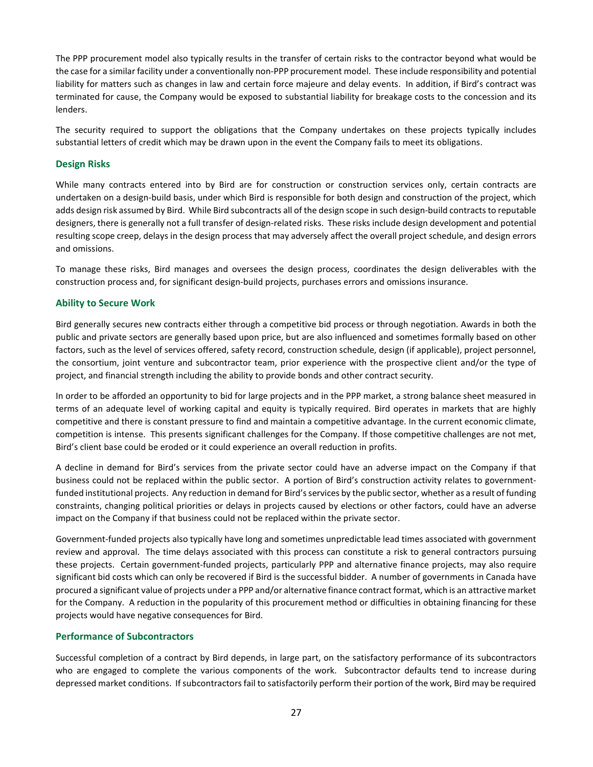The PPP procurement model also typically results in the transfer of certain risks to the contractor beyond what would be the case for a similar facility under a conventionally non-PPP procurement model. These include responsibility and potential liability for matters such as changes in law and certain force majeure and delay events. In addition, if Bird's contract was terminated for cause, the Company would be exposed to substantial liability for breakage costs to the concession and its lenders.

The security required to support the obligations that the Company undertakes on these projects typically includes substantial letters of credit which may be drawn upon in the event the Company fails to meet its obligations.

### Design Risks

While many contracts entered into by Bird are for construction or construction services only, certain contracts are undertaken on a design-build basis, under which Bird is responsible for both design and construction of the project, which adds design risk assumed by Bird. While Bird subcontracts all of the design scope in such design-build contracts to reputable designers, there is generally not a full transfer of design-related risks. These risks include design development and potential resulting scope creep, delays in the design process that may adversely affect the overall project schedule, and design errors and omissions.

To manage these risks, Bird manages and oversees the design process, coordinates the design deliverables with the construction process and, for significant design-build projects, purchases errors and omissions insurance.

#### Ability to Secure Work

Bird generally secures new contracts either through a competitive bid process or through negotiation. Awards in both the public and private sectors are generally based upon price, but are also influenced and sometimes formally based on other factors, such as the level of services offered, safety record, construction schedule, design (if applicable), project personnel, the consortium, joint venture and subcontractor team, prior experience with the prospective client and/or the type of project, and financial strength including the ability to provide bonds and other contract security.

In order to be afforded an opportunity to bid for large projects and in the PPP market, a strong balance sheet measured in terms of an adequate level of working capital and equity is typically required. Bird operates in markets that are highly competitive and there is constant pressure to find and maintain a competitive advantage. In the current economic climate, competition is intense. This presents significant challenges for the Company. If those competitive challenges are not met, Bird's client base could be eroded or it could experience an overall reduction in profits.

A decline in demand for Bird's services from the private sector could have an adverse impact on the Company if that business could not be replaced within the public sector. A portion of Bird's construction activity relates to governmentfunded institutional projects. Any reduction in demand for Bird's services by the public sector, whether as a result of funding constraints, changing political priorities or delays in projects caused by elections or other factors, could have an adverse impact on the Company if that business could not be replaced within the private sector.

Government-funded projects also typically have long and sometimes unpredictable lead times associated with government review and approval. The time delays associated with this process can constitute a risk to general contractors pursuing these projects. Certain government-funded projects, particularly PPP and alternative finance projects, may also require significant bid costs which can only be recovered if Bird is the successful bidder. A number of governments in Canada have procured a significant value of projects under a PPP and/or alternative finance contract format, which is an attractive market for the Company. A reduction in the popularity of this procurement method or difficulties in obtaining financing for these projects would have negative consequences for Bird.

#### Performance of Subcontractors

Successful completion of a contract by Bird depends, in large part, on the satisfactory performance of its subcontractors who are engaged to complete the various components of the work. Subcontractor defaults tend to increase during depressed market conditions. If subcontractors fail to satisfactorily perform their portion of the work, Bird may be required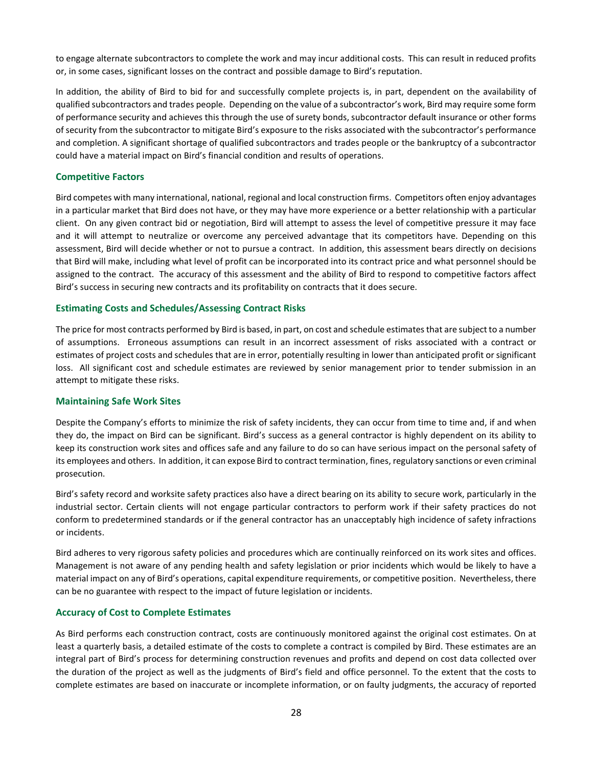to engage alternate subcontractors to complete the work and may incur additional costs. This can result in reduced profits or, in some cases, significant losses on the contract and possible damage to Bird's reputation.

In addition, the ability of Bird to bid for and successfully complete projects is, in part, dependent on the availability of qualified subcontractors and trades people. Depending on the value of a subcontractor's work, Bird may require some form of performance security and achieves this through the use of surety bonds, subcontractor default insurance or other forms of security from the subcontractor to mitigate Bird's exposure to the risks associated with the subcontractor's performance and completion. A significant shortage of qualified subcontractors and trades people or the bankruptcy of a subcontractor could have a material impact on Bird's financial condition and results of operations.

#### Competitive Factors

Bird competes with many international, national, regional and local construction firms. Competitors often enjoy advantages in a particular market that Bird does not have, or they may have more experience or a better relationship with a particular client. On any given contract bid or negotiation, Bird will attempt to assess the level of competitive pressure it may face and it will attempt to neutralize or overcome any perceived advantage that its competitors have. Depending on this assessment, Bird will decide whether or not to pursue a contract. In addition, this assessment bears directly on decisions that Bird will make, including what level of profit can be incorporated into its contract price and what personnel should be assigned to the contract. The accuracy of this assessment and the ability of Bird to respond to competitive factors affect Bird's success in securing new contracts and its profitability on contracts that it does secure.

#### Estimating Costs and Schedules/Assessing Contract Risks

The price for most contracts performed by Bird is based, in part, on cost and schedule estimates that are subject to a number of assumptions. Erroneous assumptions can result in an incorrect assessment of risks associated with a contract or estimates of project costs and schedules that are in error, potentially resulting in lower than anticipated profit or significant loss. All significant cost and schedule estimates are reviewed by senior management prior to tender submission in an attempt to mitigate these risks.

#### Maintaining Safe Work Sites

Despite the Company's efforts to minimize the risk of safety incidents, they can occur from time to time and, if and when they do, the impact on Bird can be significant. Bird's success as a general contractor is highly dependent on its ability to keep its construction work sites and offices safe and any failure to do so can have serious impact on the personal safety of its employees and others. In addition, it can expose Bird to contract termination, fines, regulatory sanctions or even criminal prosecution.

Bird's safety record and worksite safety practices also have a direct bearing on its ability to secure work, particularly in the industrial sector. Certain clients will not engage particular contractors to perform work if their safety practices do not conform to predetermined standards or if the general contractor has an unacceptably high incidence of safety infractions or incidents.

Bird adheres to very rigorous safety policies and procedures which are continually reinforced on its work sites and offices. Management is not aware of any pending health and safety legislation or prior incidents which would be likely to have a material impact on any of Bird's operations, capital expenditure requirements, or competitive position. Nevertheless, there can be no guarantee with respect to the impact of future legislation or incidents.

## Accuracy of Cost to Complete Estimates

As Bird performs each construction contract, costs are continuously monitored against the original cost estimates. On at least a quarterly basis, a detailed estimate of the costs to complete a contract is compiled by Bird. These estimates are an integral part of Bird's process for determining construction revenues and profits and depend on cost data collected over the duration of the project as well as the judgments of Bird's field and office personnel. To the extent that the costs to complete estimates are based on inaccurate or incomplete information, or on faulty judgments, the accuracy of reported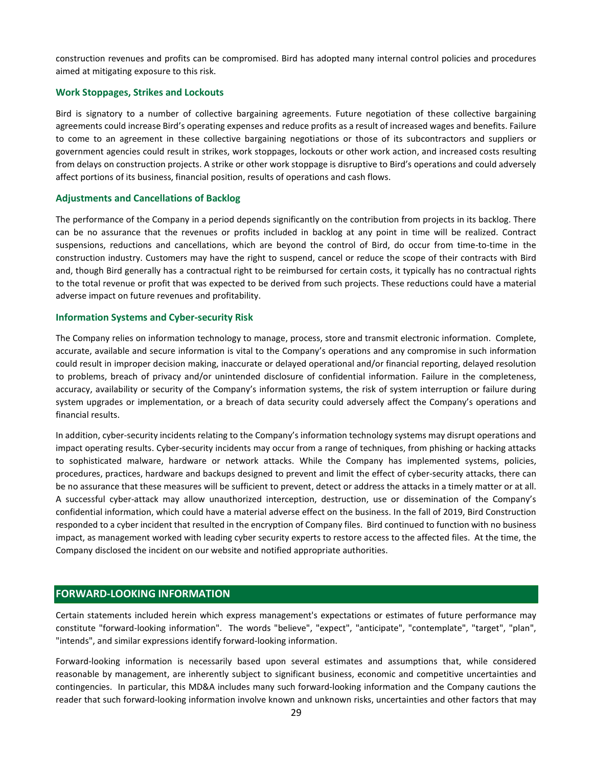construction revenues and profits can be compromised. Bird has adopted many internal control policies and procedures aimed at mitigating exposure to this risk.

#### Work Stoppages, Strikes and Lockouts

Bird is signatory to a number of collective bargaining agreements. Future negotiation of these collective bargaining agreements could increase Bird's operating expenses and reduce profits as a result of increased wages and benefits. Failure to come to an agreement in these collective bargaining negotiations or those of its subcontractors and suppliers or government agencies could result in strikes, work stoppages, lockouts or other work action, and increased costs resulting from delays on construction projects. A strike or other work stoppage is disruptive to Bird's operations and could adversely affect portions of its business, financial position, results of operations and cash flows.

#### Adjustments and Cancellations of Backlog

The performance of the Company in a period depends significantly on the contribution from projects in its backlog. There can be no assurance that the revenues or profits included in backlog at any point in time will be realized. Contract suspensions, reductions and cancellations, which are beyond the control of Bird, do occur from time-to-time in the construction industry. Customers may have the right to suspend, cancel or reduce the scope of their contracts with Bird and, though Bird generally has a contractual right to be reimbursed for certain costs, it typically has no contractual rights to the total revenue or profit that was expected to be derived from such projects. These reductions could have a material adverse impact on future revenues and profitability.

#### Information Systems and Cyber-security Risk

The Company relies on information technology to manage, process, store and transmit electronic information. Complete, accurate, available and secure information is vital to the Company's operations and any compromise in such information could result in improper decision making, inaccurate or delayed operational and/or financial reporting, delayed resolution to problems, breach of privacy and/or unintended disclosure of confidential information. Failure in the completeness, accuracy, availability or security of the Company's information systems, the risk of system interruption or failure during system upgrades or implementation, or a breach of data security could adversely affect the Company's operations and financial results.

In addition, cyber-security incidents relating to the Company's information technology systems may disrupt operations and impact operating results. Cyber-security incidents may occur from a range of techniques, from phishing or hacking attacks to sophisticated malware, hardware or network attacks. While the Company has implemented systems, policies, procedures, practices, hardware and backups designed to prevent and limit the effect of cyber-security attacks, there can be no assurance that these measures will be sufficient to prevent, detect or address the attacks in a timely matter or at all. A successful cyber-attack may allow unauthorized interception, destruction, use or dissemination of the Company's confidential information, which could have a material adverse effect on the business. In the fall of 2019, Bird Construction responded to a cyber incident that resulted in the encryption of Company files. Bird continued to function with no business impact, as management worked with leading cyber security experts to restore access to the affected files. At the time, the Company disclosed the incident on our website and notified appropriate authorities.

# FORWARD-LOOKING INFORMATION

Certain statements included herein which express management's expectations or estimates of future performance may constitute "forward-looking information". The words "believe", "expect", "anticipate", "contemplate", "target", "plan", "intends", and similar expressions identify forward-looking information.

Forward-looking information is necessarily based upon several estimates and assumptions that, while considered reasonable by management, are inherently subject to significant business, economic and competitive uncertainties and contingencies. In particular, this MD&A includes many such forward-looking information and the Company cautions the reader that such forward-looking information involve known and unknown risks, uncertainties and other factors that may